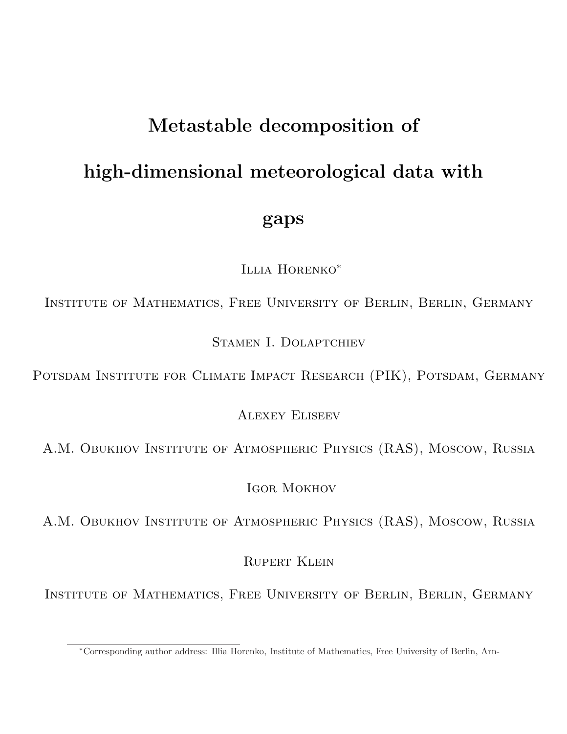# Metastable decomposition of high-dimensional meteorological data with gaps

Illia Horenko<sup>∗</sup>

Institute of Mathematics, Free University of Berlin, Berlin, Germany

Stamen I. Dolaptchiev

POTSDAM INSTITUTE FOR CLIMATE IMPACT RESEARCH (PIK), POTSDAM, GERMANY

Alexey Eliseev

A.M. Obukhov INSTITUTE OF ATMOSPHERIC PHYSICS (RAS), MOSCOW, RUSSIA

Igor Mokhov

A.M. Obukhov INSTITUTE OF ATMOSPHERIC PHYSICS (RAS), MOSCOW, RUSSIA

Rupert Klein

Institute of Mathematics, Free University of Berlin, Berlin, Germany

<sup>∗</sup>Corresponding author address: Illia Horenko, Institute of Mathematics, Free University of Berlin, Arn-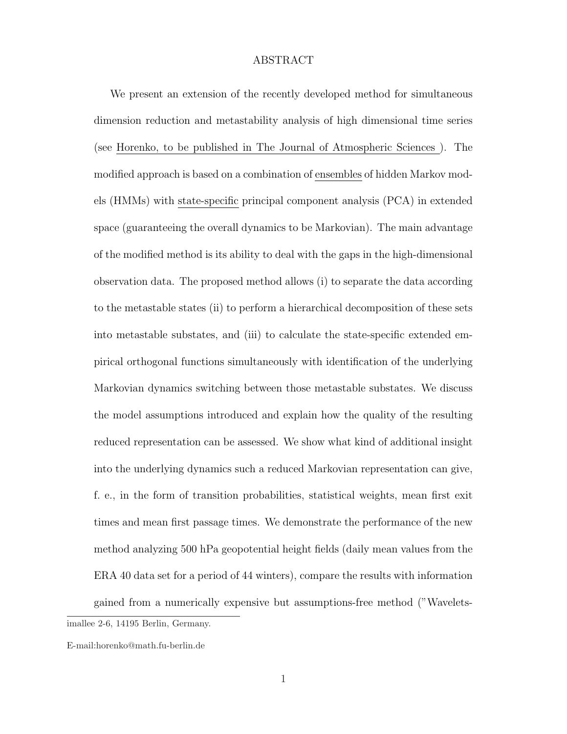## ABSTRACT

We present an extension of the recently developed method for simultaneous dimension reduction and metastability analysis of high dimensional time series (see Horenko, to be published in The Journal of Atmospheric Sciences ). The modified approach is based on a combination of ensembles of hidden Markov models (HMMs) with state-specific principal component analysis (PCA) in extended space (guaranteeing the overall dynamics to be Markovian). The main advantage of the modified method is its ability to deal with the gaps in the high-dimensional observation data. The proposed method allows (i) to separate the data according to the metastable states (ii) to perform a hierarchical decomposition of these sets into metastable substates, and (iii) to calculate the state-specific extended empirical orthogonal functions simultaneously with identification of the underlying Markovian dynamics switching between those metastable substates. We discuss the model assumptions introduced and explain how the quality of the resulting reduced representation can be assessed. We show what kind of additional insight into the underlying dynamics such a reduced Markovian representation can give, f. e., in the form of transition probabilities, statistical weights, mean first exit times and mean first passage times. We demonstrate the performance of the new method analyzing 500 hPa geopotential height fields (daily mean values from the ERA 40 data set for a period of 44 winters), compare the results with information gained from a numerically expensive but assumptions-free method ("Wavelets-

imallee 2-6, 14195 Berlin, Germany.

E-mail:horenko@math.fu-berlin.de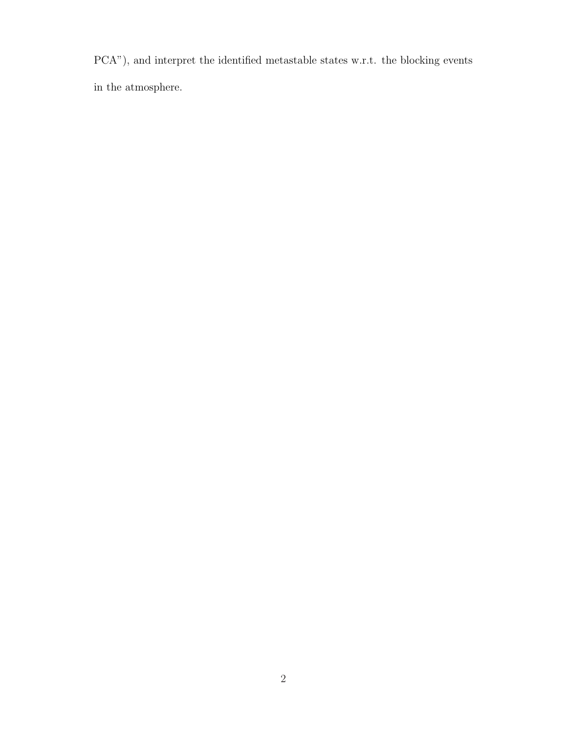PCA"), and interpret the identified metastable states w.r.t. the blocking events in the atmosphere.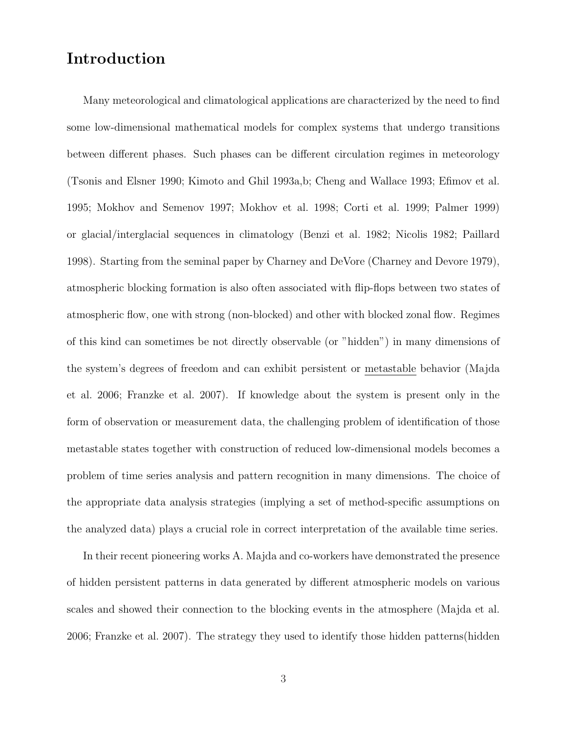## Introduction

Many meteorological and climatological applications are characterized by the need to find some low-dimensional mathematical models for complex systems that undergo transitions between different phases. Such phases can be different circulation regimes in meteorology (Tsonis and Elsner 1990; Kimoto and Ghil 1993a,b; Cheng and Wallace 1993; Efimov et al. 1995; Mokhov and Semenov 1997; Mokhov et al. 1998; Corti et al. 1999; Palmer 1999) or glacial/interglacial sequences in climatology (Benzi et al. 1982; Nicolis 1982; Paillard 1998). Starting from the seminal paper by Charney and DeVore (Charney and Devore 1979), atmospheric blocking formation is also often associated with flip-flops between two states of atmospheric flow, one with strong (non-blocked) and other with blocked zonal flow. Regimes of this kind can sometimes be not directly observable (or "hidden") in many dimensions of the system's degrees of freedom and can exhibit persistent or metastable behavior (Majda et al. 2006; Franzke et al. 2007). If knowledge about the system is present only in the form of observation or measurement data, the challenging problem of identification of those metastable states together with construction of reduced low-dimensional models becomes a problem of time series analysis and pattern recognition in many dimensions. The choice of the appropriate data analysis strategies (implying a set of method-specific assumptions on the analyzed data) plays a crucial role in correct interpretation of the available time series.

In their recent pioneering works A. Majda and co-workers have demonstrated the presence of hidden persistent patterns in data generated by different atmospheric models on various scales and showed their connection to the blocking events in the atmosphere (Majda et al. 2006; Franzke et al. 2007). The strategy they used to identify those hidden patterns(hidden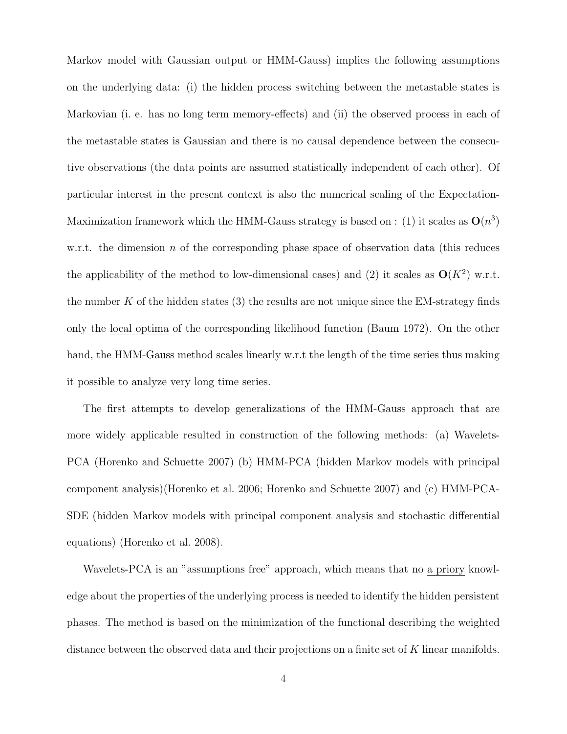Markov model with Gaussian output or HMM-Gauss) implies the following assumptions on the underlying data: (i) the hidden process switching between the metastable states is Markovian (i. e. has no long term memory-effects) and (ii) the observed process in each of the metastable states is Gaussian and there is no causal dependence between the consecutive observations (the data points are assumed statistically independent of each other). Of particular interest in the present context is also the numerical scaling of the Expectation-Maximization framework which the HMM-Gauss strategy is based on : (1) it scales as  $O(n^3)$ w.r.t. the dimension n of the corresponding phase space of observation data (this reduces the applicability of the method to low-dimensional cases) and (2) it scales as  $O(K^2)$  w.r.t. the number  $K$  of the hidden states (3) the results are not unique since the EM-strategy finds only the local optima of the corresponding likelihood function (Baum 1972). On the other hand, the HMM-Gauss method scales linearly w.r.t the length of the time series thus making it possible to analyze very long time series.

The first attempts to develop generalizations of the HMM-Gauss approach that are more widely applicable resulted in construction of the following methods: (a) Wavelets-PCA (Horenko and Schuette 2007) (b) HMM-PCA (hidden Markov models with principal component analysis)(Horenko et al. 2006; Horenko and Schuette 2007) and (c) HMM-PCA-SDE (hidden Markov models with principal component analysis and stochastic differential equations) (Horenko et al. 2008).

Wavelets-PCA is an "assumptions free" approach, which means that no a priory knowledge about the properties of the underlying process is needed to identify the hidden persistent phases. The method is based on the minimization of the functional describing the weighted distance between the observed data and their projections on a finite set of K linear manifolds.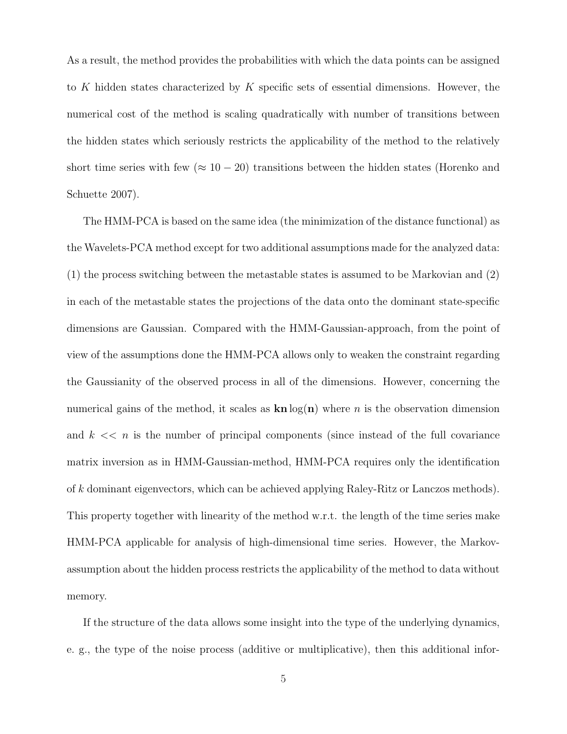As a result, the method provides the probabilities with which the data points can be assigned to K hidden states characterized by K specific sets of essential dimensions. However, the numerical cost of the method is scaling quadratically with number of transitions between the hidden states which seriously restricts the applicability of the method to the relatively short time series with few ( $\approx 10 - 20$ ) transitions between the hidden states (Horenko and Schuette 2007).

The HMM-PCA is based on the same idea (the minimization of the distance functional) as the Wavelets-PCA method except for two additional assumptions made for the analyzed data: (1) the process switching between the metastable states is assumed to be Markovian and (2) in each of the metastable states the projections of the data onto the dominant state-specific dimensions are Gaussian. Compared with the HMM-Gaussian-approach, from the point of view of the assumptions done the HMM-PCA allows only to weaken the constraint regarding the Gaussianity of the observed process in all of the dimensions. However, concerning the numerical gains of the method, it scales as  $\text{kn} \log(n)$  where n is the observation dimension and  $k \ll n$  is the number of principal components (since instead of the full covariance matrix inversion as in HMM-Gaussian-method, HMM-PCA requires only the identification of k dominant eigenvectors, which can be achieved applying Raley-Ritz or Lanczos methods). This property together with linearity of the method w.r.t. the length of the time series make HMM-PCA applicable for analysis of high-dimensional time series. However, the Markovassumption about the hidden process restricts the applicability of the method to data without memory.

If the structure of the data allows some insight into the type of the underlying dynamics, e. g., the type of the noise process (additive or multiplicative), then this additional infor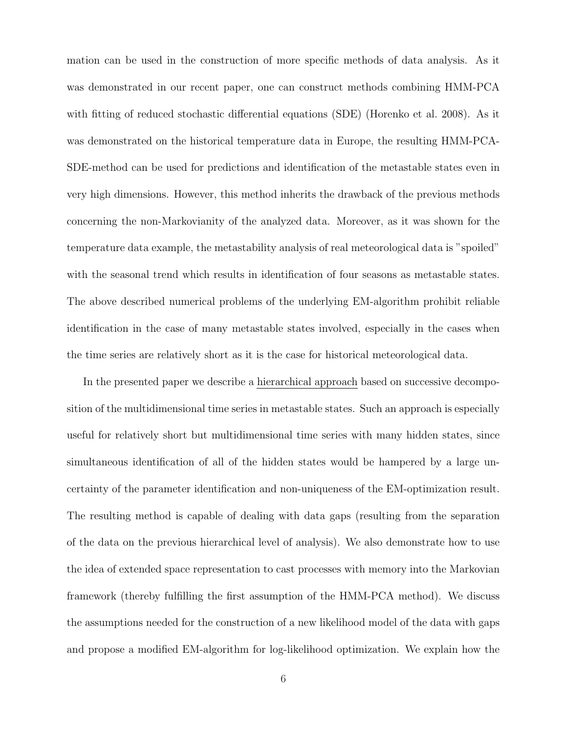mation can be used in the construction of more specific methods of data analysis. As it was demonstrated in our recent paper, one can construct methods combining HMM-PCA with fitting of reduced stochastic differential equations (SDE) (Horenko et al. 2008). As it was demonstrated on the historical temperature data in Europe, the resulting HMM-PCA-SDE-method can be used for predictions and identification of the metastable states even in very high dimensions. However, this method inherits the drawback of the previous methods concerning the non-Markovianity of the analyzed data. Moreover, as it was shown for the temperature data example, the metastability analysis of real meteorological data is "spoiled" with the seasonal trend which results in identification of four seasons as metastable states. The above described numerical problems of the underlying EM-algorithm prohibit reliable identification in the case of many metastable states involved, especially in the cases when the time series are relatively short as it is the case for historical meteorological data.

In the presented paper we describe a hierarchical approach based on successive decomposition of the multidimensional time series in metastable states. Such an approach is especially useful for relatively short but multidimensional time series with many hidden states, since simultaneous identification of all of the hidden states would be hampered by a large uncertainty of the parameter identification and non-uniqueness of the EM-optimization result. The resulting method is capable of dealing with data gaps (resulting from the separation of the data on the previous hierarchical level of analysis). We also demonstrate how to use the idea of extended space representation to cast processes with memory into the Markovian framework (thereby fulfilling the first assumption of the HMM-PCA method). We discuss the assumptions needed for the construction of a new likelihood model of the data with gaps and propose a modified EM-algorithm for log-likelihood optimization. We explain how the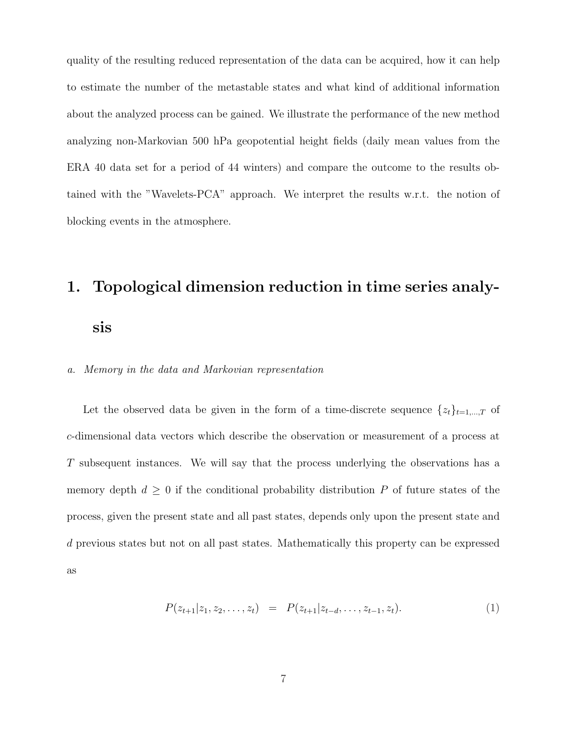quality of the resulting reduced representation of the data can be acquired, how it can help to estimate the number of the metastable states and what kind of additional information about the analyzed process can be gained. We illustrate the performance of the new method analyzing non-Markovian 500 hPa geopotential height fields (daily mean values from the ERA 40 data set for a period of 44 winters) and compare the outcome to the results obtained with the "Wavelets-PCA" approach. We interpret the results w.r.t. the notion of blocking events in the atmosphere.

## 1. Topological dimension reduction in time series analy-

sis

## a. Memory in the data and Markovian representation

Let the observed data be given in the form of a time-discrete sequence  $\{z_t\}_{t=1,\dots,T}$  of c-dimensional data vectors which describe the observation or measurement of a process at T subsequent instances. We will say that the process underlying the observations has a memory depth  $d \geq 0$  if the conditional probability distribution P of future states of the process, given the present state and all past states, depends only upon the present state and d previous states but not on all past states. Mathematically this property can be expressed as

$$
P(z_{t+1}|z_1, z_2, \dots, z_t) = P(z_{t+1}|z_{t-d}, \dots, z_{t-1}, z_t). \tag{1}
$$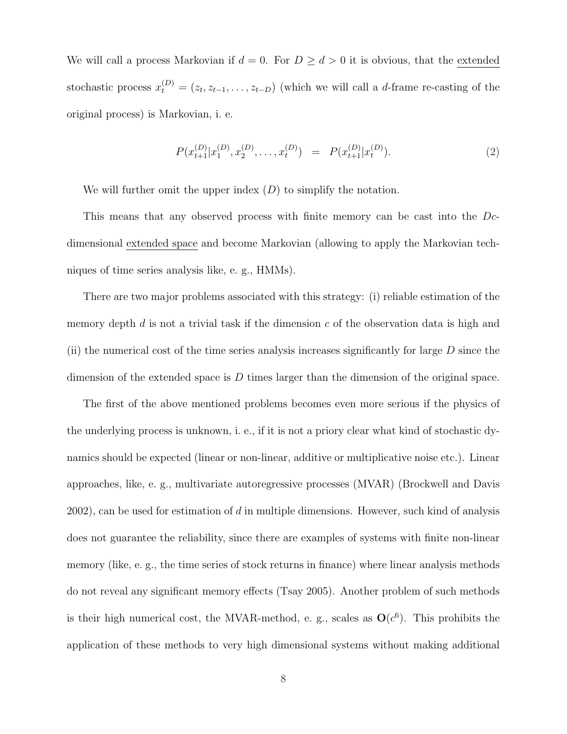We will call a process Markovian if  $d = 0$ . For  $D \ge d > 0$  it is obvious, that the extended stochastic process  $x_t^{(D)} = (z_t, z_{t-1}, \ldots, z_{t-D})$  (which we will call a d-frame re-casting of the original process) is Markovian, i. e.

$$
P(x_{t+1}^{(D)} | x_1^{(D)}, x_2^{(D)}, \dots, x_t^{(D)}) = P(x_{t+1}^{(D)} | x_t^{(D)}).
$$
\n(2)

We will further omit the upper index  $(D)$  to simplify the notation.

This means that any observed process with finite memory can be cast into the Dcdimensional extended space and become Markovian (allowing to apply the Markovian techniques of time series analysis like, e. g., HMMs).

There are two major problems associated with this strategy: (i) reliable estimation of the memory depth  $d$  is not a trivial task if the dimension  $c$  of the observation data is high and (ii) the numerical cost of the time series analysis increases significantly for large  $D$  since the dimension of the extended space is  $D$  times larger than the dimension of the original space.

The first of the above mentioned problems becomes even more serious if the physics of the underlying process is unknown, i. e., if it is not a priory clear what kind of stochastic dynamics should be expected (linear or non-linear, additive or multiplicative noise etc.). Linear approaches, like, e. g., multivariate autoregressive processes (MVAR) (Brockwell and Davis  $2002$ , can be used for estimation of d in multiple dimensions. However, such kind of analysis does not guarantee the reliability, since there are examples of systems with finite non-linear memory (like, e. g., the time series of stock returns in finance) where linear analysis methods do not reveal any significant memory effects (Tsay 2005). Another problem of such methods is their high numerical cost, the MVAR-method, e. g., scales as  $\mathbf{O}(c^6)$ . This prohibits the application of these methods to very high dimensional systems without making additional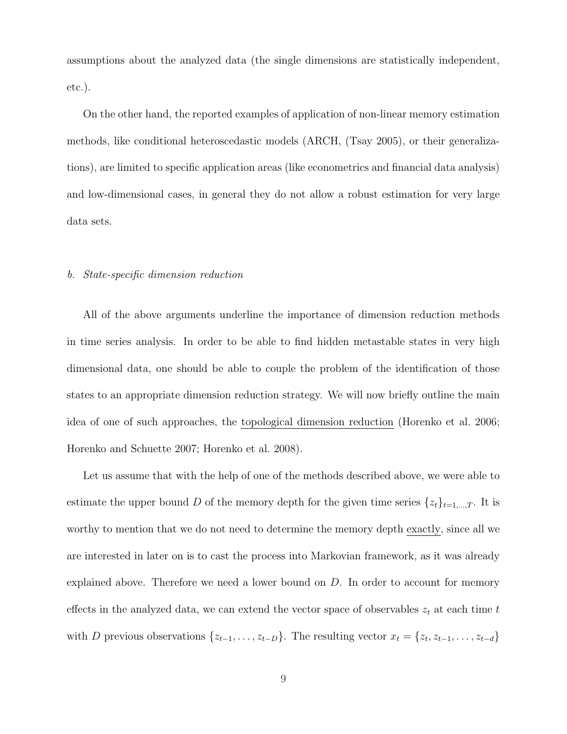assumptions about the analyzed data (the single dimensions are statistically independent, etc.).

On the other hand, the reported examples of application of non-linear memory estimation methods, like conditional heteroscedastic models (ARCH, (Tsay 2005), or their generalizations), are limited to specific application areas (like econometrics and financial data analysis) and low-dimensional cases, in general they do not allow a robust estimation for very large data sets.

#### b. State-specific dimension reduction

All of the above arguments underline the importance of dimension reduction methods in time series analysis. In order to be able to find hidden metastable states in very high dimensional data, one should be able to couple the problem of the identification of those states to an appropriate dimension reduction strategy. We will now briefly outline the main idea of one of such approaches, the topological dimension reduction (Horenko et al. 2006; Horenko and Schuette 2007; Horenko et al. 2008).

Let us assume that with the help of one of the methods described above, we were able to estimate the upper bound D of the memory depth for the given time series  $\{z_t\}_{t=1,\dots,T}$ . It is worthy to mention that we do not need to determine the memory depth exactly, since all we are interested in later on is to cast the process into Markovian framework, as it was already explained above. Therefore we need a lower bound on D. In order to account for memory effects in the analyzed data, we can extend the vector space of observables  $z_t$  at each time  $t$ with D previous observations  $\{z_{t-1}, \ldots, z_{t-D}\}$ . The resulting vector  $x_t = \{z_t, z_{t-1}, \ldots, z_{t-d}\}$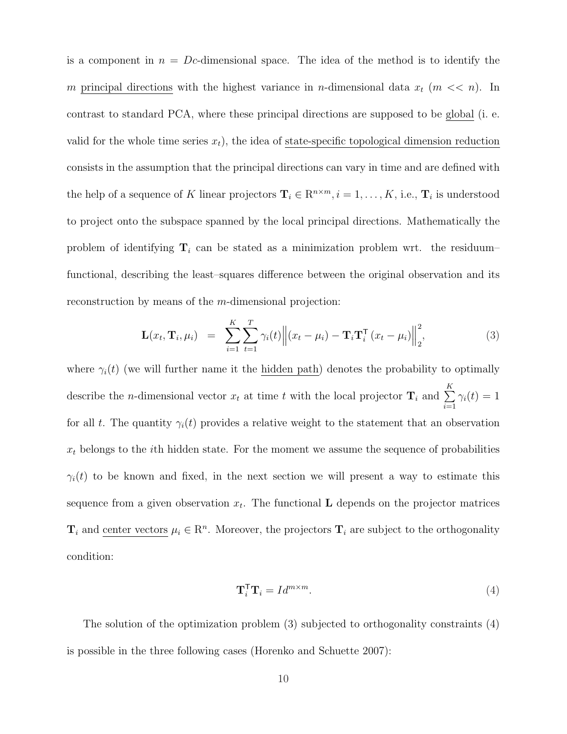is a component in  $n = Dc$ -dimensional space. The idea of the method is to identify the m principal directions with the highest variance in n-dimensional data  $x_t$  ( $m \ll n$ ). In contrast to standard PCA, where these principal directions are supposed to be global (i. e. valid for the whole time series  $x_t$ ), the idea of state-specific topological dimension reduction consists in the assumption that the principal directions can vary in time and are defined with the help of a sequence of K linear projectors  $\mathbf{T}_i \in \mathbb{R}^{n \times m}, i = 1, \ldots, K$ , i.e.,  $\mathbf{T}_i$  is understood to project onto the subspace spanned by the local principal directions. Mathematically the problem of identifying  $T_i$  can be stated as a minimization problem wrt. the residuum– functional, describing the least–squares difference between the original observation and its reconstruction by means of the m-dimensional projection:

$$
\mathbf{L}(x_t, \mathbf{T}_i, \mu_i) = \sum_{i=1}^K \sum_{t=1}^T \gamma_i(t) \left\| (x_t - \mu_i) - \mathbf{T}_i \mathbf{T}_i^{\mathsf{T}} (x_t - \mu_i) \right\|_2^2, \tag{3}
$$

where  $\gamma_i(t)$  (we will further name it the hidden path) denotes the probability to optimally describe the *n*-dimensional vector  $x_t$  at time t with the local projector  $\mathbf{T}_i$  and  $\sum$  $i=1$  $\gamma_i(t)=1$ for all t. The quantity  $\gamma_i(t)$  provides a relative weight to the statement that an observation  $x_t$  belongs to the *i*th hidden state. For the moment we assume the sequence of probabilities  $\gamma_i(t)$  to be known and fixed, in the next section we will present a way to estimate this sequence from a given observation  $x_t$ . The functional **L** depends on the projector matrices  $\mathbf{T}_i$  and center vectors  $\mu_i \in \mathbb{R}^n$ . Moreover, the projectors  $\mathbf{T}_i$  are subject to the orthogonality condition:

$$
\mathbf{T}_i^{\mathsf{T}} \mathbf{T}_i = I d^{m \times m}.
$$
 (4)

The solution of the optimization problem (3) subjected to orthogonality constraints (4) is possible in the three following cases (Horenko and Schuette 2007):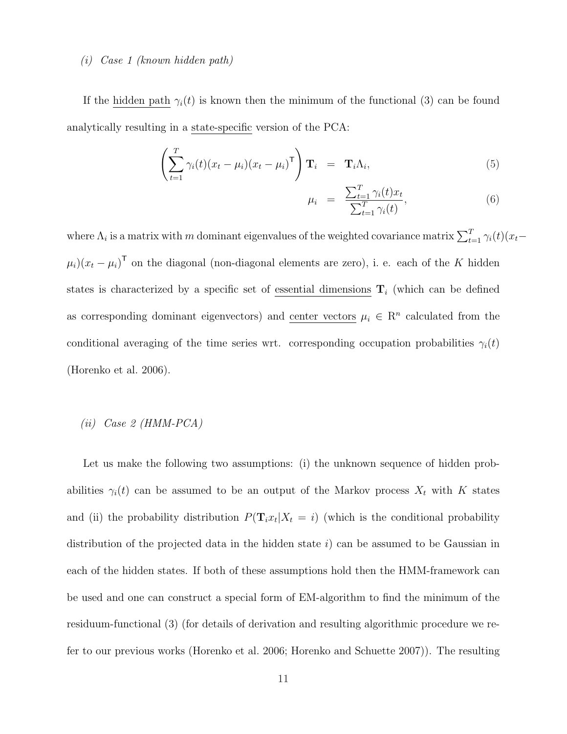## (i) Case 1 (known hidden path)

If the <u>hidden path</u>  $\gamma_i(t)$  is known then the minimum of the functional (3) can be found analytically resulting in a state-specific version of the PCA:

$$
\left(\sum_{t=1}^{T} \gamma_i(t)(x_t - \mu_i)(x_t - \mu_i)^{\mathsf{T}}\right) \mathbf{T}_i = \mathbf{T}_i \Lambda_i, \tag{5}
$$

$$
\mu_i = \frac{\sum_{t=1}^T \gamma_i(t) x_t}{\sum_{t=1}^T \gamma_i(t)},\tag{6}
$$

where  $\Lambda_i$  is a matrix with m dominant eigenvalues of the weighted covariance matrix  $\sum_{t=1}^T \gamma_i(t)(x_t-\$  $\mu_i$ )( $x_t - \mu_i$ )<sup>T</sup> on the diagonal (non-diagonal elements are zero), i. e. each of the K hidden states is characterized by a specific set of essential dimensions  $T_i$  (which can be defined as corresponding dominant eigenvectors) and center vectors  $\mu_i \in \mathbb{R}^n$  calculated from the conditional averaging of the time series wrt. corresponding occupation probabilities  $\gamma_i(t)$ (Horenko et al. 2006).

## $(ii) Case 2 (HMM-PCA)$

Let us make the following two assumptions: (i) the unknown sequence of hidden probabilities  $\gamma_i(t)$  can be assumed to be an output of the Markov process  $X_t$  with K states and (ii) the probability distribution  $P(\mathbf{T}_i x_t | X_t = i)$  (which is the conditional probability distribution of the projected data in the hidden state  $i$ ) can be assumed to be Gaussian in each of the hidden states. If both of these assumptions hold then the HMM-framework can be used and one can construct a special form of EM-algorithm to find the minimum of the residuum-functional (3) (for details of derivation and resulting algorithmic procedure we refer to our previous works (Horenko et al. 2006; Horenko and Schuette 2007)). The resulting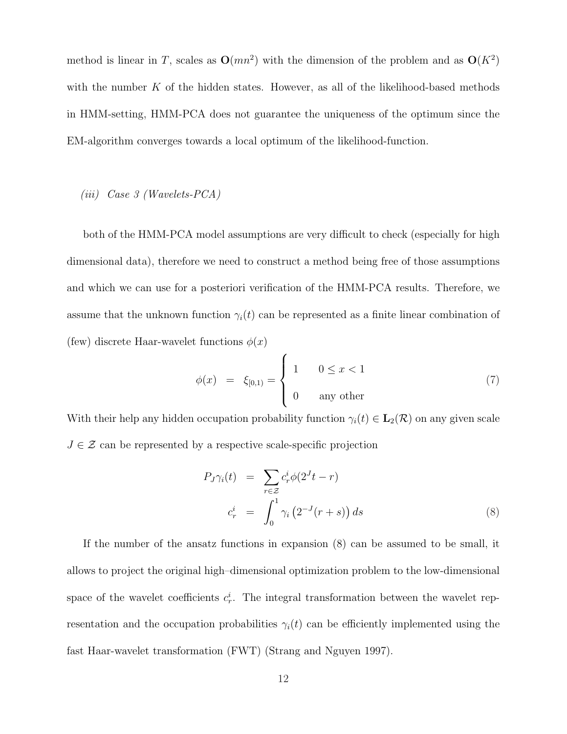method is linear in T, scales as  $O(mn^2)$  with the dimension of the problem and as  $O(K^2)$ with the number  $K$  of the hidden states. However, as all of the likelihood-based methods in HMM-setting, HMM-PCA does not guarantee the uniqueness of the optimum since the EM-algorithm converges towards a local optimum of the likelihood-function.

## (iii) Case 3 (Wavelets-PCA)

both of the HMM-PCA model assumptions are very difficult to check (especially for high dimensional data), therefore we need to construct a method being free of those assumptions and which we can use for a posteriori verification of the HMM-PCA results. Therefore, we assume that the unknown function  $\gamma_i(t)$  can be represented as a finite linear combination of (few) discrete Haar-wavelet functions  $\phi(x)$  $\overline{ }$ 

$$
\phi(x) = \xi_{[0,1)} = \begin{cases} 1 & 0 \le x < 1 \\ 0 & \text{any other} \end{cases} \tag{7}
$$

With their help any hidden occupation probability function  $\gamma_i(t) \in \mathbf{L}_2(\mathcal{R})$  on any given scale  $J \in \mathcal{Z}$  can be represented by a respective scale-specific projection

$$
P_J \gamma_i(t) = \sum_{r \in \mathcal{Z}} c_r^i \phi(2^J t - r)
$$
  

$$
c_r^i = \int_0^1 \gamma_i \left(2^{-J} (r + s)\right) ds
$$
 (8)

If the number of the ansatz functions in expansion (8) can be assumed to be small, it allows to project the original high–dimensional optimization problem to the low-dimensional space of the wavelet coefficients  $c_r^i$ . The integral transformation between the wavelet representation and the occupation probabilities  $\gamma_i(t)$  can be efficiently implemented using the fast Haar-wavelet transformation (FWT) (Strang and Nguyen 1997).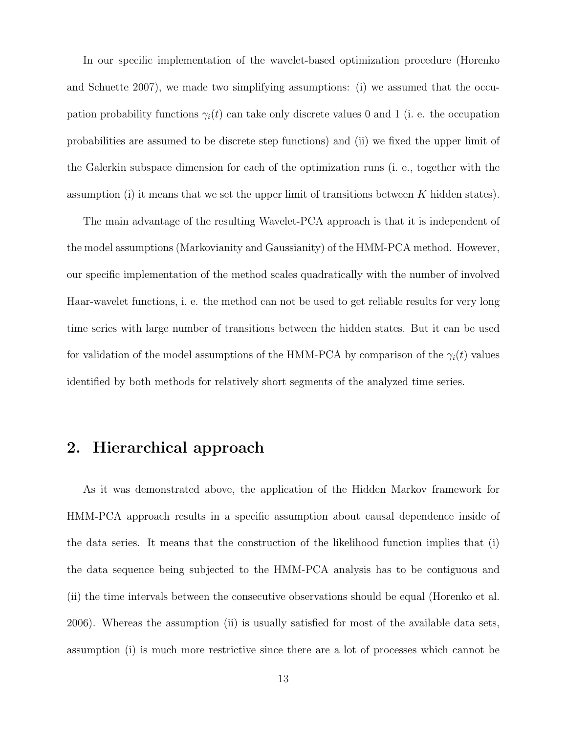In our specific implementation of the wavelet-based optimization procedure (Horenko and Schuette 2007), we made two simplifying assumptions: (i) we assumed that the occupation probability functions  $\gamma_i(t)$  can take only discrete values 0 and 1 (i. e. the occupation probabilities are assumed to be discrete step functions) and (ii) we fixed the upper limit of the Galerkin subspace dimension for each of the optimization runs (i. e., together with the assumption (i) it means that we set the upper limit of transitions between  $K$  hidden states).

The main advantage of the resulting Wavelet-PCA approach is that it is independent of the model assumptions (Markovianity and Gaussianity) of the HMM-PCA method. However, our specific implementation of the method scales quadratically with the number of involved Haar-wavelet functions, i. e. the method can not be used to get reliable results for very long time series with large number of transitions between the hidden states. But it can be used for validation of the model assumptions of the HMM-PCA by comparison of the  $\gamma_i(t)$  values identified by both methods for relatively short segments of the analyzed time series.

## 2. Hierarchical approach

As it was demonstrated above, the application of the Hidden Markov framework for HMM-PCA approach results in a specific assumption about causal dependence inside of the data series. It means that the construction of the likelihood function implies that (i) the data sequence being subjected to the HMM-PCA analysis has to be contiguous and (ii) the time intervals between the consecutive observations should be equal (Horenko et al. 2006). Whereas the assumption (ii) is usually satisfied for most of the available data sets, assumption (i) is much more restrictive since there are a lot of processes which cannot be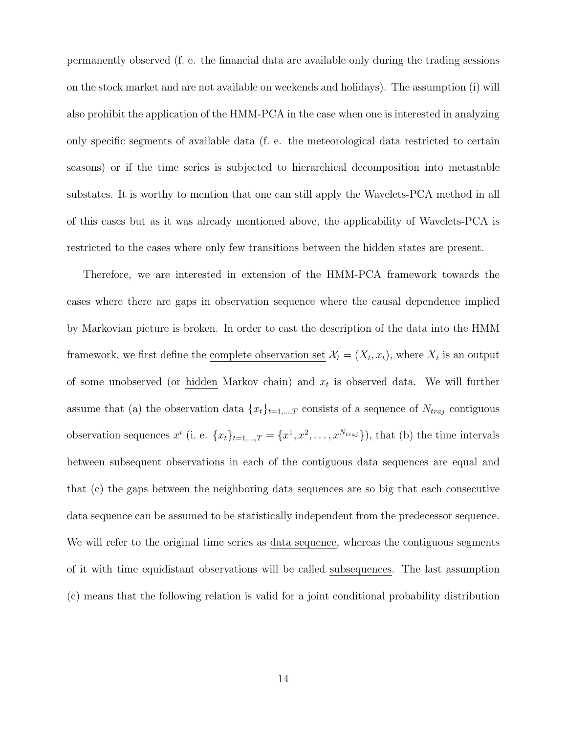permanently observed (f. e. the financial data are available only during the trading sessions on the stock market and are not available on weekends and holidays). The assumption (i) will also prohibit the application of the HMM-PCA in the case when one is interested in analyzing only specific segments of available data (f. e. the meteorological data restricted to certain seasons) or if the time series is subjected to hierarchical decomposition into metastable substates. It is worthy to mention that one can still apply the Wavelets-PCA method in all of this cases but as it was already mentioned above, the applicability of Wavelets-PCA is restricted to the cases where only few transitions between the hidden states are present.

Therefore, we are interested in extension of the HMM-PCA framework towards the cases where there are gaps in observation sequence where the causal dependence implied by Markovian picture is broken. In order to cast the description of the data into the HMM framework, we first define the complete observation set  $\mathcal{X}_t = (X_t, x_t)$ , where  $X_t$  is an output of some unobserved (or hidden Markov chain) and  $x_t$  is observed data. We will further assume that (a) the observation data  ${x_t}_{t=1,\dots,T}$  consists of a sequence of  $N_{traj}$  contiguous observation sequences  $x^i$  (i. e.  $\{x_t\}_{t=1,\dots,T} = \{x^1, x^2, \dots, x^{N_{traj}}\}$ ), that (b) the time intervals between subsequent observations in each of the contiguous data sequences are equal and that (c) the gaps between the neighboring data sequences are so big that each consecutive data sequence can be assumed to be statistically independent from the predecessor sequence. We will refer to the original time series as data sequence, whereas the contiguous segments of it with time equidistant observations will be called subsequences. The last assumption (c) means that the following relation is valid for a joint conditional probability distribution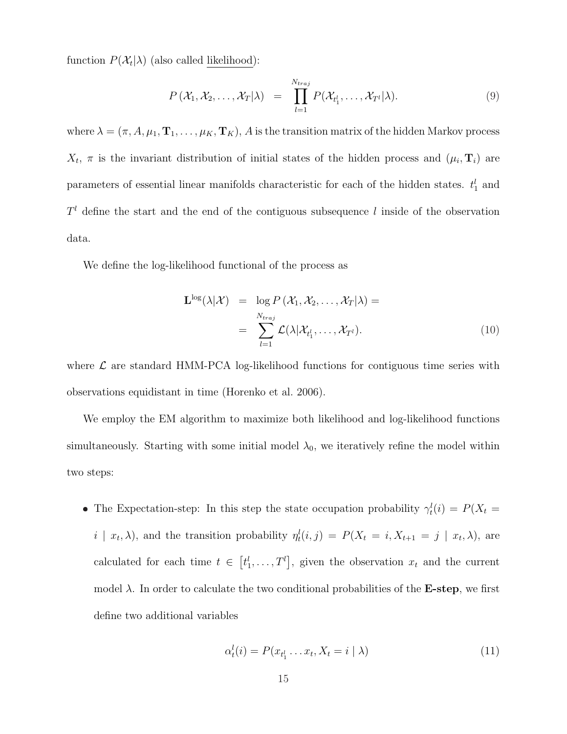function  $P(\mathcal{X}_t|\lambda)$  (also called <u>likelihood</u>):

$$
P\left(\mathcal{X}_1, \mathcal{X}_2, \ldots, \mathcal{X}_T | \lambda\right) = \prod_{l=1}^{N_{traj}} P(\mathcal{X}_{t_1^l}, \ldots, \mathcal{X}_{T^l} | \lambda). \tag{9}
$$

where  $\lambda = (\pi, A, \mu_1, \mathbf{T}_1, \dots, \mu_K, \mathbf{T}_K)$ , A is the transition matrix of the hidden Markov process  $X_t$ ,  $\pi$  is the invariant distribution of initial states of the hidden process and  $(\mu_i, \mathbf{T}_i)$  are parameters of essential linear manifolds characteristic for each of the hidden states.  $t_1^l$  and  $T<sup>l</sup>$  define the start and the end of the contiguous subsequence l inside of the observation data.

We define the log-likelihood functional of the process as

$$
\mathbf{L}^{\log}(\lambda|\mathcal{X}) = \log P(\mathcal{X}_1, \mathcal{X}_2, \dots, \mathcal{X}_T|\lambda) =
$$

$$
= \sum_{l=1}^{N_{traj}} \mathcal{L}(\lambda|\mathcal{X}_{t_1^l}, \dots, \mathcal{X}_{T^l}).
$$
(10)

where  $\mathcal L$  are standard HMM-PCA log-likelihood functions for contiguous time series with observations equidistant in time (Horenko et al. 2006).

We employ the EM algorithm to maximize both likelihood and log-likelihood functions simultaneously. Starting with some initial model  $\lambda_0$ , we iteratively refine the model within two steps:

• The Expectation-step: In this step the state occupation probability  $\gamma_t^l(i) = P(X_t =$  $i | x_t, \lambda$ , and the transition probability  $\eta_t^l(i,j) = P(X_t = i, X_{t+1} = j | x_t, \lambda)$ , are calculated for each time  $t \in$ £  $t^l_1,\ldots,T^l$ ¤ , given the observation  $x_t$  and the current model  $\lambda$ . In order to calculate the two conditional probabilities of the **E-step**, we first define two additional variables

$$
\alpha_t^l(i) = P(x_{t_1^l} \dots x_t, X_t = i \mid \lambda)
$$
\n(11)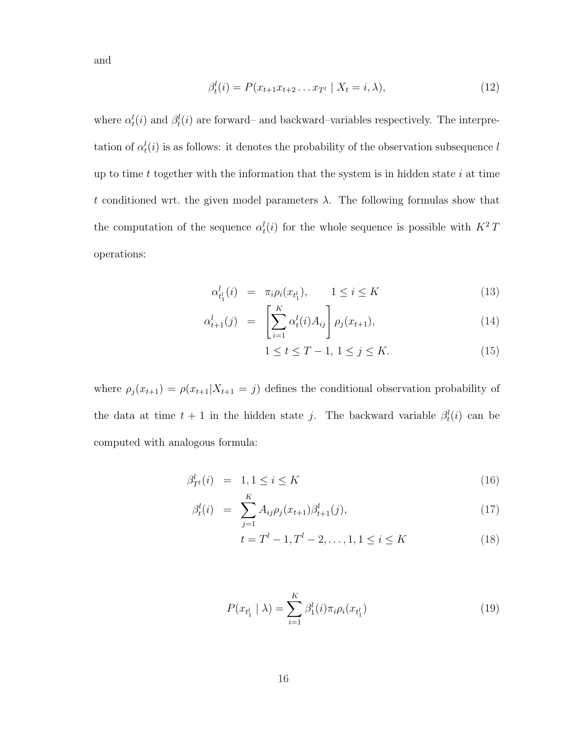and

$$
\beta_t^l(i) = P(x_{t+1}x_{t+2}...x_{T^l} \mid X_t = i, \lambda), \tag{12}
$$

where  $\alpha_t^l(i)$  and  $\beta_t^l(i)$  are forward– and backward–variables respectively. The interpretation of  $\alpha_t^l(i)$  is as follows: it denotes the probability of the observation subsequence l up to time  $t$  together with the information that the system is in hidden state  $i$  at time t conditioned wrt. the given model parameters  $\lambda$ . The following formulas show that the computation of the sequence  $\alpha_t^l(i)$  for the whole sequence is possible with  $K^2T$ operations:

$$
\alpha_{t_1^l}^l(i) = \pi_i \rho_i(x_{t_1^l}), \qquad 1 \le i \le K \tag{13}
$$

$$
\alpha_{t+1}^l(j) = \left[ \sum_{i=1}^K \alpha_t^l(i) A_{ij} \right] \rho_j(x_{t+1}), \tag{14}
$$

$$
1 \le t \le T - 1, \ 1 \le j \le K. \tag{15}
$$

where  $\rho_j(x_{t+1}) = \rho(x_{t+1}|X_{t+1} = j)$  defines the conditional observation probability of the data at time  $t + 1$  in the hidden state j. The backward variable  $\beta_t^l(i)$  can be computed with analogous formula:

$$
\beta_{T^l}^l(i) = 1, 1 \le i \le K \tag{16}
$$

$$
\beta_t^l(i) = \sum_{j=1}^K A_{ij} \rho_j(x_{t+1}) \beta_{t+1}^l(j), \qquad (17)
$$

$$
t = Tl - 1, Tl - 2, ..., 1, 1 \le i \le K
$$
 (18)

$$
P(x_{t_1^l} \mid \lambda) = \sum_{i=1}^K \beta_1^l(i)\pi_i \rho_i(x_{t_1^l})
$$
\n(19)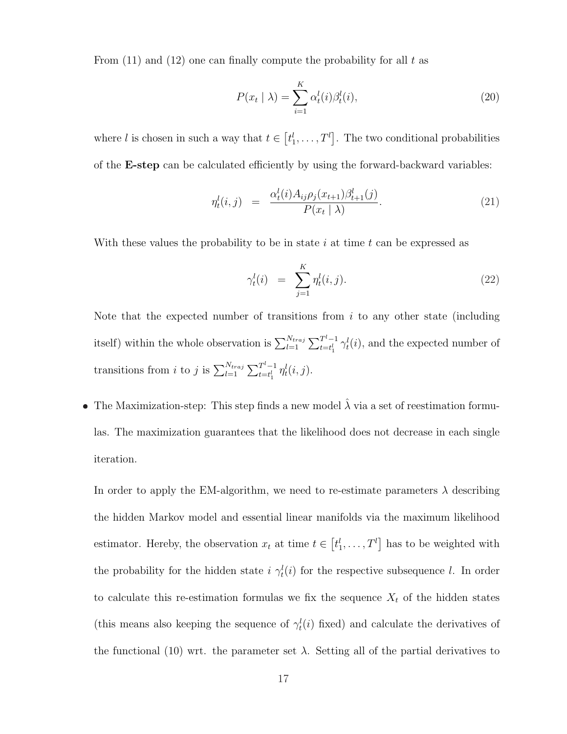From  $(11)$  and  $(12)$  one can finally compute the probability for all t as

$$
P(x_t | \lambda) = \sum_{i=1}^{K} \alpha_t^l(i) \beta_t^l(i),
$$
\n(20)

where l is chosen in such a way that  $t \in$ £  $t_1^l, \ldots, T^l$ l<br>E . The two conditional probabilities of the E-step can be calculated efficiently by using the forward-backward variables:

$$
\eta_t^l(i,j) = \frac{\alpha_t^l(i) A_{ij} \rho_j(x_{t+1}) \beta_{t+1}^l(j)}{P(x_t | \lambda)}.
$$
\n(21)

With these values the probability to be in state i at time t can be expressed as

$$
\gamma_t^l(i) = \sum_{j=1}^K \eta_t^l(i,j). \tag{22}
$$

Note that the expected number of transitions from  $i$  to any other state (including itself) within the whole observation is  $\sum_{l=1}^{N_{traj}}$  $\sum^{l-1}$  $\int_{t=t_1^l}^{T^l-1} \gamma_t^l(i)$ , and the expected number of transitions from *i* to *j* is  $\sum_{l=1}^{N_{traj}}$  $\sum^{l-1}$  $\int_{t=t_1^l}^{T^l-1} \eta_t^l(i,j)$ .

• The Maximization-step: This step finds a new model  $\hat{\lambda}$  via a set of reestimation formulas. The maximization guarantees that the likelihood does not decrease in each single iteration.

In order to apply the EM-algorithm, we need to re-estimate parameters  $\lambda$  describing the hidden Markov model and essential linear manifolds via the maximum likelihood estimator. Hereby, the observation  $x_t$  at time  $t \in$ £  $t^l_1,\ldots,T^l$ l<br>E has to be weighted with the probability for the hidden state  $i \gamma_t^l(i)$  for the respective subsequence l. In order to calculate this re-estimation formulas we fix the sequence  $X_t$  of the hidden states (this means also keeping the sequence of  $\gamma_t^l(i)$  fixed) and calculate the derivatives of the functional (10) wrt. the parameter set  $\lambda$ . Setting all of the partial derivatives to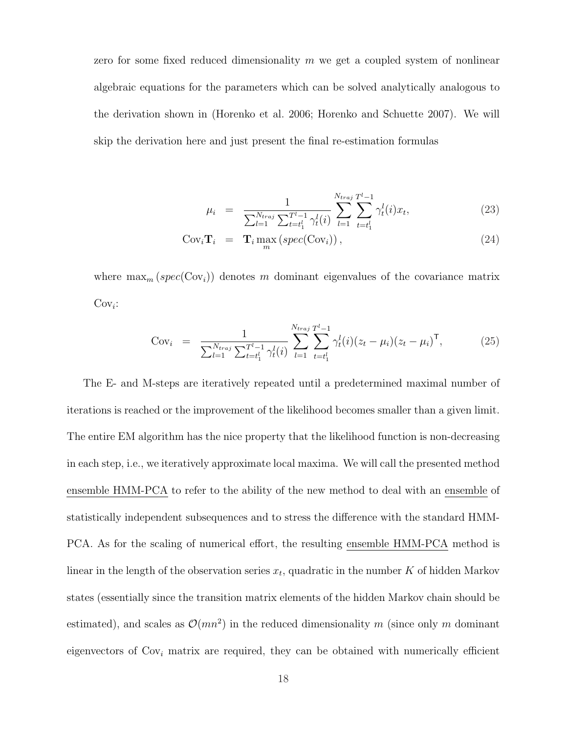zero for some fixed reduced dimensionality  $m$  we get a coupled system of nonlinear algebraic equations for the parameters which can be solved analytically analogous to the derivation shown in (Horenko et al. 2006; Horenko and Schuette 2007). We will skip the derivation here and just present the final re-estimation formulas

$$
\mu_i = \frac{1}{\sum_{l=1}^{N_{traj}} \sum_{t=t_1^l}^{T^l-1} \gamma_t^l(i)} \sum_{l=1}^{N_{traj}} \sum_{t=t_1^l}^{T^l-1} \gamma_t^l(i) x_t,
$$
\n(23)

$$
Cov_i \mathbf{T}_i = \mathbf{T}_i \max_m (spec(Cov_i)), \qquad (24)
$$

where  $\max_m (spec(Cov_i))$  denotes m dominant eigenvalues of the covariance matrix  $Cov_i$ :

Cov<sub>i</sub> = 
$$
\frac{1}{\sum_{l=1}^{N_{traj}} \sum_{t=t_1^l}^{T^l-1} \gamma_t^l(i)} \sum_{l=1}^{N_{traj}} \sum_{t=t_1^l}^{T^l-1} \gamma_t^l(i) (z_t - \mu_i) (z_t - \mu_i)^{\mathsf{T}},
$$
 (25)

The E- and M-steps are iteratively repeated until a predetermined maximal number of iterations is reached or the improvement of the likelihood becomes smaller than a given limit. The entire EM algorithm has the nice property that the likelihood function is non-decreasing in each step, i.e., we iteratively approximate local maxima. We will call the presented method ensemble HMM-PCA to refer to the ability of the new method to deal with an ensemble of statistically independent subsequences and to stress the difference with the standard HMM-PCA. As for the scaling of numerical effort, the resulting ensemble HMM-PCA method is linear in the length of the observation series  $x_t$ , quadratic in the number K of hidden Markov states (essentially since the transition matrix elements of the hidden Markov chain should be estimated), and scales as  $\mathcal{O}(mn^2)$  in the reduced dimensionality m (since only m dominant eigenvectors of  $Cov_i$  matrix are required, they can be obtained with numerically efficient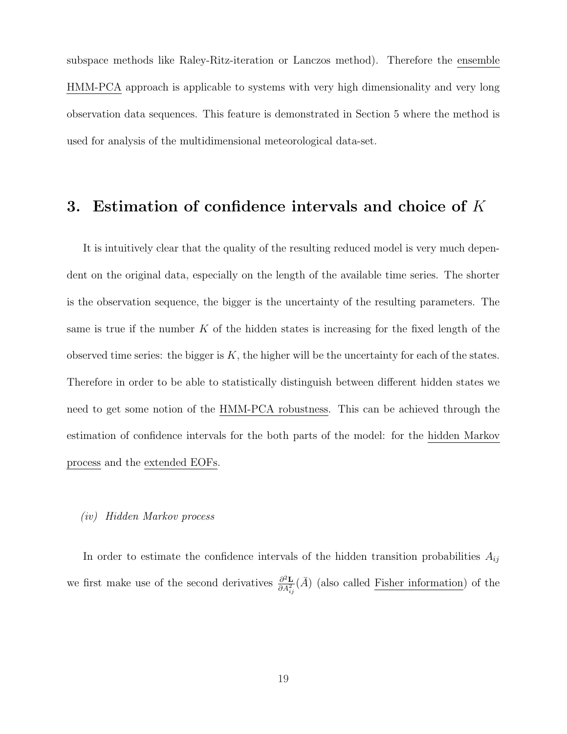subspace methods like Raley-Ritz-iteration or Lanczos method). Therefore the ensemble HMM-PCA approach is applicable to systems with very high dimensionality and very long observation data sequences. This feature is demonstrated in Section 5 where the method is used for analysis of the multidimensional meteorological data-set.

## 3. Estimation of confidence intervals and choice of K

It is intuitively clear that the quality of the resulting reduced model is very much dependent on the original data, especially on the length of the available time series. The shorter is the observation sequence, the bigger is the uncertainty of the resulting parameters. The same is true if the number  $K$  of the hidden states is increasing for the fixed length of the observed time series: the bigger is  $K$ , the higher will be the uncertainty for each of the states. Therefore in order to be able to statistically distinguish between different hidden states we need to get some notion of the HMM-PCA robustness. This can be achieved through the estimation of confidence intervals for the both parts of the model: for the hidden Markov process and the extended EOFs.

## (iv) Hidden Markov process

In order to estimate the confidence intervals of the hidden transition probabilities  $A_{ij}$ we first make use of the second derivatives  $\frac{\partial^2 \mathbf{L}}{\partial A^2}$  $\frac{\partial^2 \mathbf{L}}{\partial A_{ij}^2}(\overline{A})$  (also called Fisher information) of the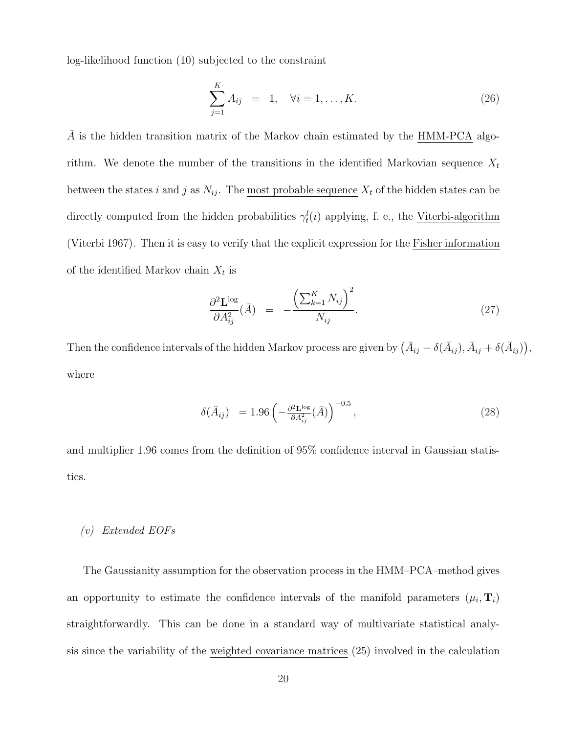log-likelihood function (10) subjected to the constraint

$$
\sum_{j=1}^{K} A_{ij} = 1, \quad \forall i = 1, ..., K.
$$
 (26)

A is the hidden transition matrix of the Markov chain estimated by the HMM-PCA algorithm. We denote the number of the transitions in the identified Markovian sequence  $X_t$ between the states i and j as  $N_{ij}$ . The <u>most probable sequence</u>  $X_t$  of the hidden states can be directly computed from the hidden probabilities  $\gamma_t^l(i)$  applying, f. e., the Viterbi-algorithm (Viterbi 1967). Then it is easy to verify that the explicit expression for the Fisher information of the identified Markov chain  $X_t$  is

$$
\frac{\partial^2 \mathbf{L}^{\text{log}}}{\partial A_{ij}^2}(\bar{A}) = -\frac{\left(\sum_{k=1}^K N_{ij}\right)^2}{N_{ij}}.
$$
\n(27)

,

Then the confidence intervals of the hidden Markov process are given by  $(\bar{A}_{ij}-\delta(\bar{A}_{ij}),\bar{A}_{ij}+\delta(\bar{A}_{ij}))$ ¢ where

$$
\delta(\bar{A}_{ij}) = 1.96 \left( -\frac{\partial^2 \mathbf{L}^{\text{log}}}{\partial A_{ij}^2} (\bar{A}) \right)^{-0.5}, \tag{28}
$$

and multiplier 1.96 comes from the definition of 95% confidence interval in Gaussian statistics.

#### (v) Extended EOFs

The Gaussianity assumption for the observation process in the HMM–PCA–method gives an opportunity to estimate the confidence intervals of the manifold parameters  $(\mu_i, \mathbf{T}_i)$ straightforwardly. This can be done in a standard way of multivariate statistical analysis since the variability of the weighted covariance matrices (25) involved in the calculation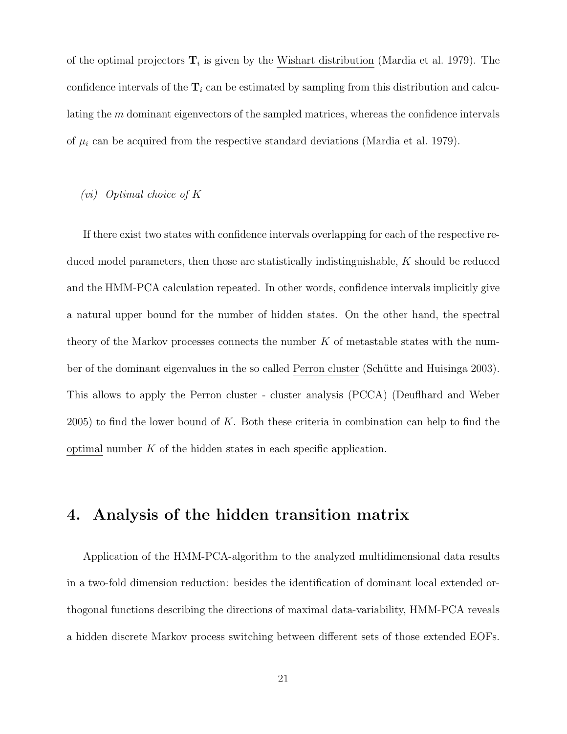of the optimal projectors  $\mathbf{T}_i$  is given by the Wishart distribution (Mardia et al. 1979). The confidence intervals of the  $T_i$  can be estimated by sampling from this distribution and calculating the m dominant eigenvectors of the sampled matrices, whereas the confidence intervals of  $\mu_i$  can be acquired from the respective standard deviations (Mardia et al. 1979).

## (vi) Optimal choice of K

If there exist two states with confidence intervals overlapping for each of the respective reduced model parameters, then those are statistically indistinguishable, K should be reduced and the HMM-PCA calculation repeated. In other words, confidence intervals implicitly give a natural upper bound for the number of hidden states. On the other hand, the spectral theory of the Markov processes connects the number  $K$  of metastable states with the number of the dominant eigenvalues in the so called Perron cluster (Schütte and Huisinga 2003). This allows to apply the Perron cluster - cluster analysis (PCCA) (Deuflhard and Weber 2005) to find the lower bound of K. Both these criteria in combination can help to find the optimal number  $K$  of the hidden states in each specific application.

## 4. Analysis of the hidden transition matrix

Application of the HMM-PCA-algorithm to the analyzed multidimensional data results in a two-fold dimension reduction: besides the identification of dominant local extended orthogonal functions describing the directions of maximal data-variability, HMM-PCA reveals a hidden discrete Markov process switching between different sets of those extended EOFs.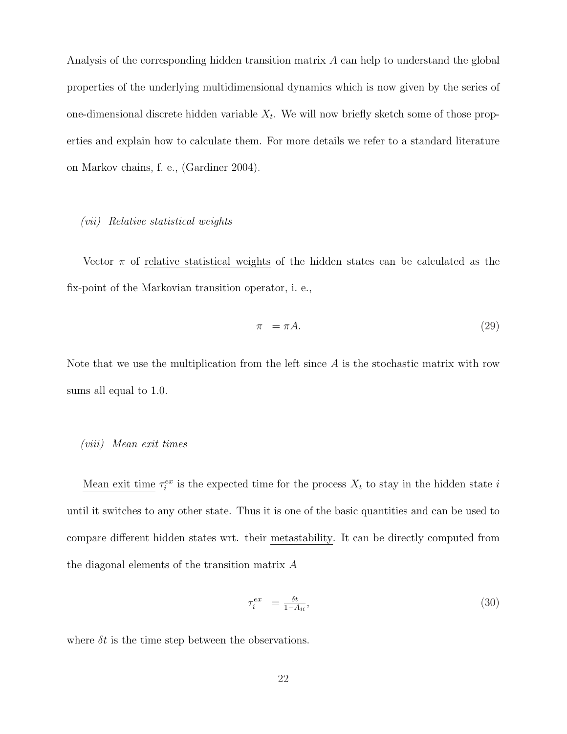Analysis of the corresponding hidden transition matrix A can help to understand the global properties of the underlying multidimensional dynamics which is now given by the series of one-dimensional discrete hidden variable  $X_t$ . We will now briefly sketch some of those properties and explain how to calculate them. For more details we refer to a standard literature on Markov chains, f. e., (Gardiner 2004).

## (vii) Relative statistical weights

Vector  $\pi$  of relative statistical weights of the hidden states can be calculated as the fix-point of the Markovian transition operator, i. e.,

$$
\pi = \pi A. \tag{29}
$$

Note that we use the multiplication from the left since  $A$  is the stochastic matrix with row sums all equal to 1.0.

#### (viii) Mean exit times

Mean exit time  $\tau_i^{ex}$  is the expected time for the process  $X_t$  to stay in the hidden state i until it switches to any other state. Thus it is one of the basic quantities and can be used to compare different hidden states wrt. their metastability. It can be directly computed from the diagonal elements of the transition matrix A

$$
\tau_i^{ex} = \frac{\delta t}{1 - A_{ii}},\tag{30}
$$

where  $\delta t$  is the time step between the observations.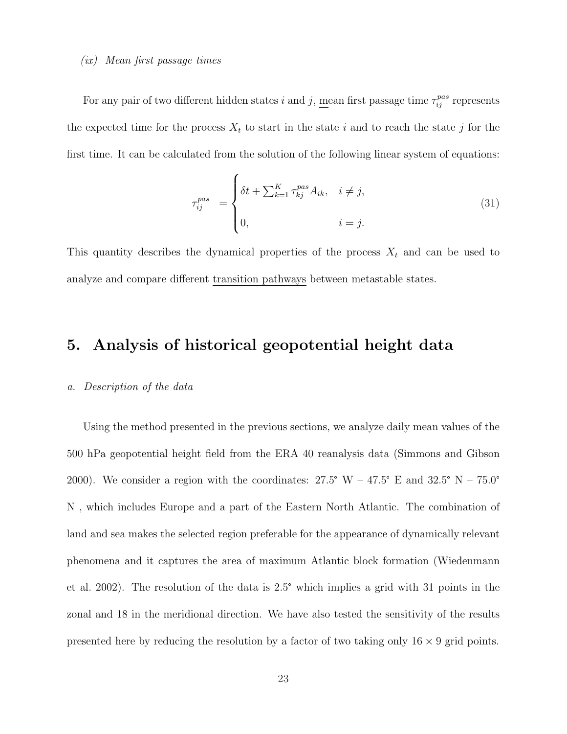#### (ix) Mean first passage times

For any pair of two different hidden states i and j, <u>mean</u> first passage time  $\tau_{ij}^{pas}$  represents the expected time for the process  $X_t$  to start in the state i and to reach the state j for the first time. It can be calculated from the solution of the following linear system of equations:

 $\overline{ }$ 

$$
\tau_{ij}^{pas} = \begin{cases} \delta t + \sum_{k=1}^{K} \tau_{kj}^{pas} A_{ik}, & i \neq j, \\ 0, & i = j. \end{cases}
$$
\n(31)

This quantity describes the dynamical properties of the process  $X_t$  and can be used to analyze and compare different transition pathways between metastable states.

## 5. Analysis of historical geopotential height data

#### a. Description of the data

Using the method presented in the previous sections, we analyze daily mean values of the 500 hPa geopotential height field from the ERA 40 reanalysis data (Simmons and Gibson 2000). We consider a region with the coordinates:  $27.5^{\circ}$  W –  $47.5^{\circ}$  E and  $32.5^{\circ}$  N –  $75.0^{\circ}$ N , which includes Europe and a part of the Eastern North Atlantic. The combination of land and sea makes the selected region preferable for the appearance of dynamically relevant phenomena and it captures the area of maximum Atlantic block formation (Wiedenmann et al. 2002). The resolution of the data is 2.5° which implies a grid with 31 points in the zonal and 18 in the meridional direction. We have also tested the sensitivity of the results presented here by reducing the resolution by a factor of two taking only  $16 \times 9$  grid points.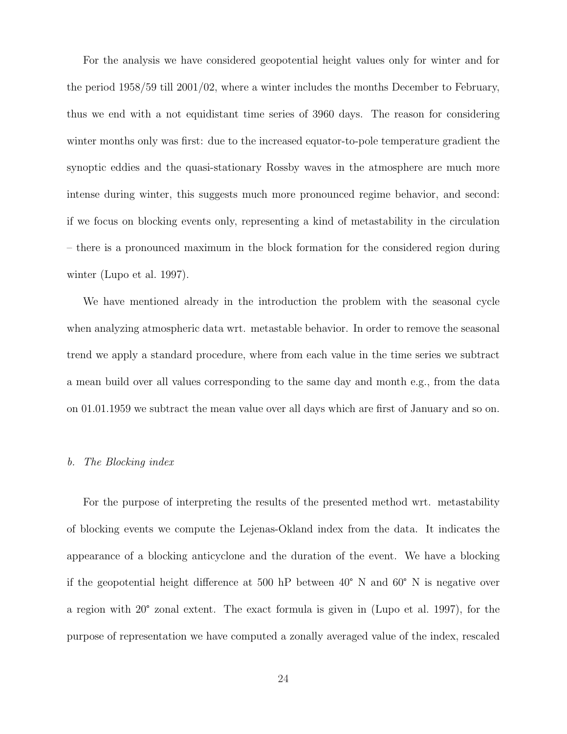For the analysis we have considered geopotential height values only for winter and for the period 1958/59 till 2001/02, where a winter includes the months December to February, thus we end with a not equidistant time series of 3960 days. The reason for considering winter months only was first: due to the increased equator-to-pole temperature gradient the synoptic eddies and the quasi-stationary Rossby waves in the atmosphere are much more intense during winter, this suggests much more pronounced regime behavior, and second: if we focus on blocking events only, representing a kind of metastability in the circulation – there is a pronounced maximum in the block formation for the considered region during winter (Lupo et al. 1997).

We have mentioned already in the introduction the problem with the seasonal cycle when analyzing atmospheric data wrt. metastable behavior. In order to remove the seasonal trend we apply a standard procedure, where from each value in the time series we subtract a mean build over all values corresponding to the same day and month e.g., from the data on 01.01.1959 we subtract the mean value over all days which are first of January and so on.

#### b. The Blocking index

For the purpose of interpreting the results of the presented method wrt. metastability of blocking events we compute the Lejenas-Okland index from the data. It indicates the appearance of a blocking anticyclone and the duration of the event. We have a blocking if the geopotential height difference at 500 hP between 40° N and 60° N is negative over a region with 20° zonal extent. The exact formula is given in (Lupo et al. 1997), for the purpose of representation we have computed a zonally averaged value of the index, rescaled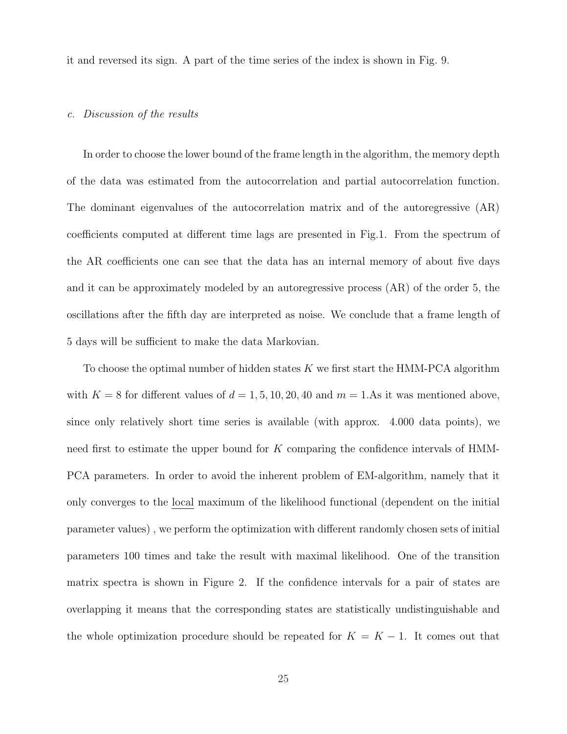it and reversed its sign. A part of the time series of the index is shown in Fig. 9.

## c. Discussion of the results

In order to choose the lower bound of the frame length in the algorithm, the memory depth of the data was estimated from the autocorrelation and partial autocorrelation function. The dominant eigenvalues of the autocorrelation matrix and of the autoregressive (AR) coefficients computed at different time lags are presented in Fig.1. From the spectrum of the AR coefficients one can see that the data has an internal memory of about five days and it can be approximately modeled by an autoregressive process (AR) of the order 5, the oscillations after the fifth day are interpreted as noise. We conclude that a frame length of 5 days will be sufficient to make the data Markovian.

To choose the optimal number of hidden states  $K$  we first start the HMM-PCA algorithm with  $K = 8$  for different values of  $d = 1, 5, 10, 20, 40$  and  $m = 1$ . As it was mentioned above, since only relatively short time series is available (with approx. 4.000 data points), we need first to estimate the upper bound for K comparing the confidence intervals of HMM-PCA parameters. In order to avoid the inherent problem of EM-algorithm, namely that it only converges to the local maximum of the likelihood functional (dependent on the initial parameter values) , we perform the optimization with different randomly chosen sets of initial parameters 100 times and take the result with maximal likelihood. One of the transition matrix spectra is shown in Figure 2. If the confidence intervals for a pair of states are overlapping it means that the corresponding states are statistically undistinguishable and the whole optimization procedure should be repeated for  $K = K - 1$ . It comes out that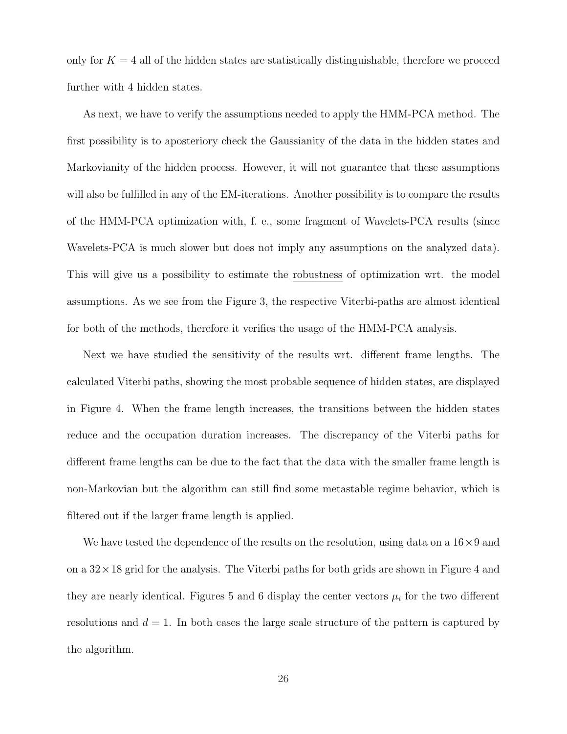only for  $K = 4$  all of the hidden states are statistically distinguishable, therefore we proceed further with 4 hidden states.

As next, we have to verify the assumptions needed to apply the HMM-PCA method. The first possibility is to aposteriory check the Gaussianity of the data in the hidden states and Markovianity of the hidden process. However, it will not guarantee that these assumptions will also be fulfilled in any of the EM-iterations. Another possibility is to compare the results of the HMM-PCA optimization with, f. e., some fragment of Wavelets-PCA results (since Wavelets-PCA is much slower but does not imply any assumptions on the analyzed data). This will give us a possibility to estimate the robustness of optimization wrt. the model assumptions. As we see from the Figure 3, the respective Viterbi-paths are almost identical for both of the methods, therefore it verifies the usage of the HMM-PCA analysis.

Next we have studied the sensitivity of the results wrt. different frame lengths. The calculated Viterbi paths, showing the most probable sequence of hidden states, are displayed in Figure 4. When the frame length increases, the transitions between the hidden states reduce and the occupation duration increases. The discrepancy of the Viterbi paths for different frame lengths can be due to the fact that the data with the smaller frame length is non-Markovian but the algorithm can still find some metastable regime behavior, which is filtered out if the larger frame length is applied.

We have tested the dependence of the results on the resolution, using data on a  $16\times9$  and on a  $32 \times 18$  grid for the analysis. The Viterbi paths for both grids are shown in Figure 4 and they are nearly identical. Figures 5 and 6 display the center vectors  $\mu_i$  for the two different resolutions and  $d = 1$ . In both cases the large scale structure of the pattern is captured by the algorithm.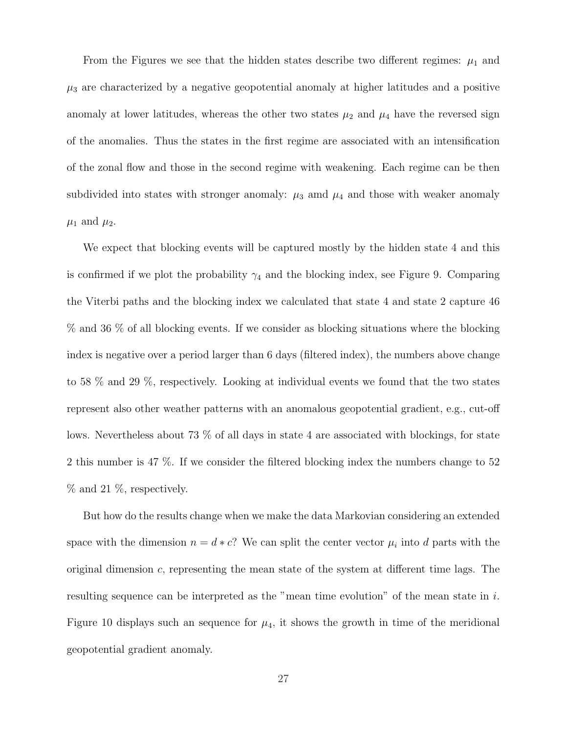From the Figures we see that the hidden states describe two different regimes:  $\mu_1$  and  $\mu_3$  are characterized by a negative geopotential anomaly at higher latitudes and a positive anomaly at lower latitudes, whereas the other two states  $\mu_2$  and  $\mu_4$  have the reversed sign of the anomalies. Thus the states in the first regime are associated with an intensification of the zonal flow and those in the second regime with weakening. Each regime can be then subdivided into states with stronger anomaly:  $\mu_3$  amd  $\mu_4$  and those with weaker anomaly  $\mu_1$  and  $\mu_2$ .

We expect that blocking events will be captured mostly by the hidden state 4 and this is confirmed if we plot the probability  $\gamma_4$  and the blocking index, see Figure 9. Comparing the Viterbi paths and the blocking index we calculated that state 4 and state 2 capture 46 % and 36 % of all blocking events. If we consider as blocking situations where the blocking index is negative over a period larger than 6 days (filtered index), the numbers above change to 58 % and 29 %, respectively. Looking at individual events we found that the two states represent also other weather patterns with an anomalous geopotential gradient, e.g., cut-off lows. Nevertheless about 73 % of all days in state 4 are associated with blockings, for state 2 this number is 47 %. If we consider the filtered blocking index the numbers change to 52 % and 21 %, respectively.

But how do the results change when we make the data Markovian considering an extended space with the dimension  $n = d * c$ ? We can split the center vector  $\mu_i$  into d parts with the original dimension  $c$ , representing the mean state of the system at different time lags. The resulting sequence can be interpreted as the "mean time evolution" of the mean state in i. Figure 10 displays such an sequence for  $\mu_4$ , it shows the growth in time of the meridional geopotential gradient anomaly.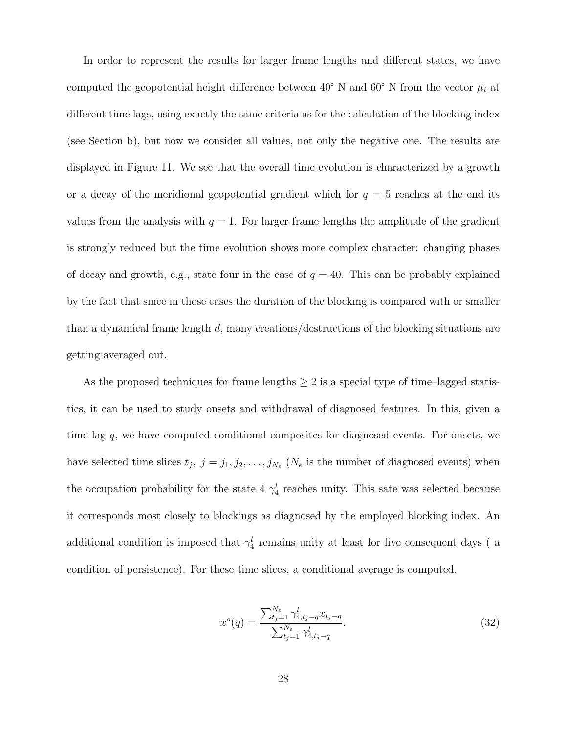In order to represent the results for larger frame lengths and different states, we have computed the geopotential height difference between 40° N and 60° N from the vector  $\mu_i$  at different time lags, using exactly the same criteria as for the calculation of the blocking index (see Section b), but now we consider all values, not only the negative one. The results are displayed in Figure 11. We see that the overall time evolution is characterized by a growth or a decay of the meridional geopotential gradient which for  $q = 5$  reaches at the end its values from the analysis with  $q = 1$ . For larger frame lengths the amplitude of the gradient is strongly reduced but the time evolution shows more complex character: changing phases of decay and growth, e.g., state four in the case of  $q = 40$ . This can be probably explained by the fact that since in those cases the duration of the blocking is compared with or smaller than a dynamical frame length d, many creations/destructions of the blocking situations are getting averaged out.

As the proposed techniques for frame lengths  $\geq 2$  is a special type of time–lagged statistics, it can be used to study onsets and withdrawal of diagnosed features. In this, given a time lag q, we have computed conditional composites for diagnosed events. For onsets, we have selected time slices  $t_j$ ,  $j = j_1, j_2, \ldots, j_{N_e}$  ( $N_e$  is the number of diagnosed events) when the occupation probability for the state 4  $\gamma_4^l$  reaches unity. This sate was selected because it corresponds most closely to blockings as diagnosed by the employed blocking index. An additional condition is imposed that  $\gamma_4^l$  remains unity at least for five consequent days (a condition of persistence). For these time slices, a conditional average is computed.

$$
x^{o}(q) = \frac{\sum_{t_{j}=1}^{N_{e}} \gamma_{4,t_{j}-q}^{l} x_{t_{j}-q}}{\sum_{t_{j}=1}^{N_{e}} \gamma_{4,t_{j}-q}^{l}}.
$$
\n(32)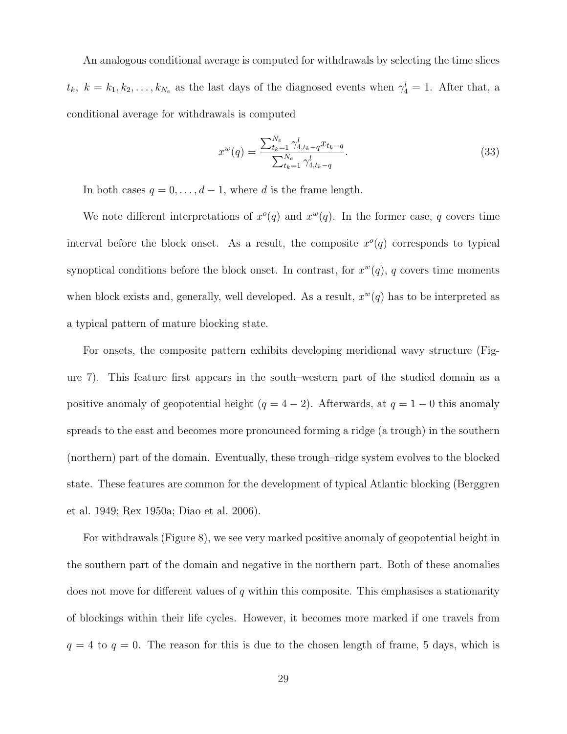An analogous conditional average is computed for withdrawals by selecting the time slices  $t_k$ ,  $k = k_1, k_2, \ldots, k_{N_e}$  as the last days of the diagnosed events when  $\gamma_4^l = 1$ . After that, a conditional average for withdrawals is computed

$$
x^{w}(q) = \frac{\sum_{t_k=1}^{N_e} \gamma_{4,t_k-q}^l x_{t_k-q}}{\sum_{t_k=1}^{N_e} \gamma_{4,t_k-q}^l}.
$$
\n(33)

In both cases  $q = 0, \ldots, d - 1$ , where d is the frame length.

We note different interpretations of  $x^o(q)$  and  $x^w(q)$ . In the former case, q covers time interval before the block onset. As a result, the composite  $x^{\circ}(q)$  corresponds to typical synoptical conditions before the block onset. In contrast, for  $x^w(q)$ , q covers time moments when block exists and, generally, well developed. As a result,  $x^w(q)$  has to be interpreted as a typical pattern of mature blocking state.

For onsets, the composite pattern exhibits developing meridional wavy structure (Figure 7). This feature first appears in the south–western part of the studied domain as a positive anomaly of geopotential height ( $q = 4 - 2$ ). Afterwards, at  $q = 1 - 0$  this anomaly spreads to the east and becomes more pronounced forming a ridge (a trough) in the southern (northern) part of the domain. Eventually, these trough–ridge system evolves to the blocked state. These features are common for the development of typical Atlantic blocking (Berggren et al. 1949; Rex 1950a; Diao et al. 2006).

For withdrawals (Figure 8), we see very marked positive anomaly of geopotential height in the southern part of the domain and negative in the northern part. Both of these anomalies does not move for different values of  $q$  within this composite. This emphasises a stationarity of blockings within their life cycles. However, it becomes more marked if one travels from  $q = 4$  to  $q = 0$ . The reason for this is due to the chosen length of frame, 5 days, which is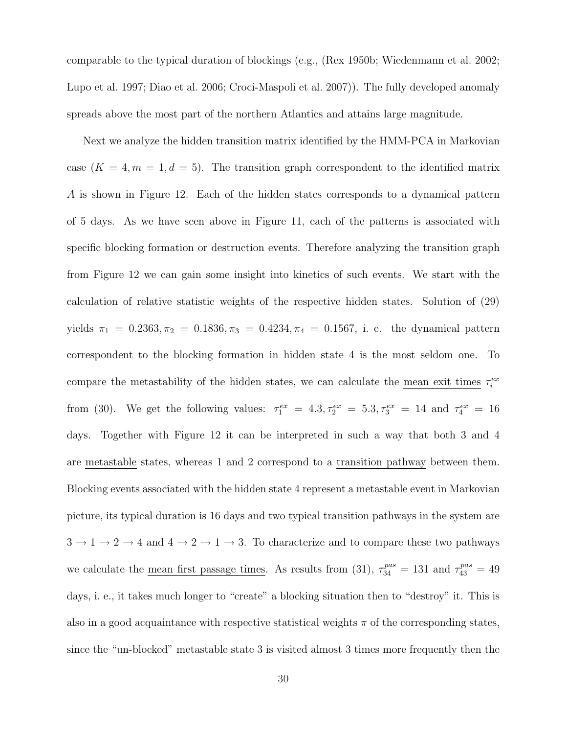comparable to the typical duration of blockings (e.g., (Rex 1950b; Wiedenmann et al. 2002; Lupo et al. 1997; Diao et al. 2006; Croci-Maspoli et al. 2007)). The fully developed anomaly spreads above the most part of the northern Atlantics and attains large magnitude.

Next we analyze the hidden transition matrix identified by the HMM-PCA in Markovian case  $(K = 4, m = 1, d = 5)$ . The transition graph correspondent to the identified matrix A is shown in Figure 12. Each of the hidden states corresponds to a dynamical pattern of 5 days. As we have seen above in Figure 11, each of the patterns is associated with specific blocking formation or destruction events. Therefore analyzing the transition graph from Figure 12 we can gain some insight into kinetics of such events. We start with the calculation of relative statistic weights of the respective hidden states. Solution of (29) yields  $\pi_1 = 0.2363, \pi_2 = 0.1836, \pi_3 = 0.4234, \pi_4 = 0.1567$ , i. e. the dynamical pattern correspondent to the blocking formation in hidden state 4 is the most seldom one. To compare the metastability of the hidden states, we can calculate the <u>mean exit times</u>  $\tau_i^{ex}$ from (30). We get the following values:  $\tau_1^{ex} = 4.3, \tau_2^{ex} = 5.3, \tau_3^{ex} = 14$  and  $\tau_4^{ex} = 16$ days. Together with Figure 12 it can be interpreted in such a way that both 3 and 4 are metastable states, whereas 1 and 2 correspond to a transition pathway between them. Blocking events associated with the hidden state 4 represent a metastable event in Markovian picture, its typical duration is 16 days and two typical transition pathways in the system are  $3 \rightarrow 1 \rightarrow 2 \rightarrow 4$  and  $4 \rightarrow 2 \rightarrow 1 \rightarrow 3$ . To characterize and to compare these two pathways we calculate the <u>mean first passage times</u>. As results from (31),  $\tau_{34}^{pas} = 131$  and  $\tau_{43}^{pas} = 49$ days, i. e., it takes much longer to "create" a blocking situation then to "destroy" it. This is also in a good acquaintance with respective statistical weights  $\pi$  of the corresponding states, since the "un-blocked" metastable state 3 is visited almost 3 times more frequently then the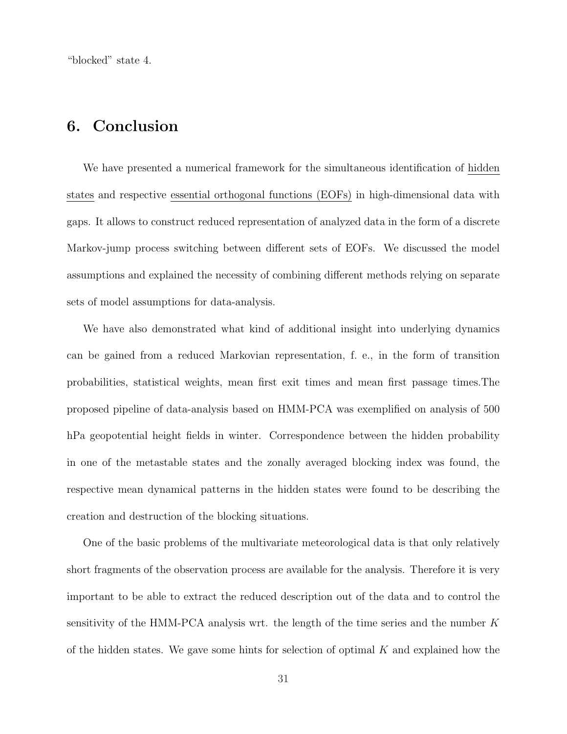"blocked" state 4.

## 6. Conclusion

We have presented a numerical framework for the simultaneous identification of hidden states and respective essential orthogonal functions (EOFs) in high-dimensional data with gaps. It allows to construct reduced representation of analyzed data in the form of a discrete Markov-jump process switching between different sets of EOFs. We discussed the model assumptions and explained the necessity of combining different methods relying on separate sets of model assumptions for data-analysis.

We have also demonstrated what kind of additional insight into underlying dynamics can be gained from a reduced Markovian representation, f. e., in the form of transition probabilities, statistical weights, mean first exit times and mean first passage times.The proposed pipeline of data-analysis based on HMM-PCA was exemplified on analysis of 500 hPa geopotential height fields in winter. Correspondence between the hidden probability in one of the metastable states and the zonally averaged blocking index was found, the respective mean dynamical patterns in the hidden states were found to be describing the creation and destruction of the blocking situations.

One of the basic problems of the multivariate meteorological data is that only relatively short fragments of the observation process are available for the analysis. Therefore it is very important to be able to extract the reduced description out of the data and to control the sensitivity of the HMM-PCA analysis wrt. the length of the time series and the number  $K$ of the hidden states. We gave some hints for selection of optimal  $K$  and explained how the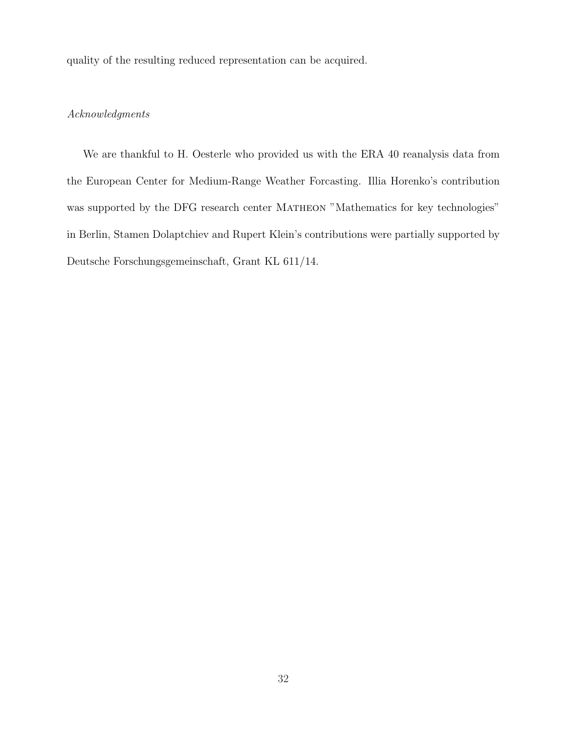quality of the resulting reduced representation can be acquired.

## Acknowledgments

We are thankful to H. Oesterle who provided us with the ERA 40 reanalysis data from the European Center for Medium-Range Weather Forcasting. Illia Horenko's contribution was supported by the DFG research center MATHEON "Mathematics for key technologies" in Berlin, Stamen Dolaptchiev and Rupert Klein's contributions were partially supported by Deutsche Forschungsgemeinschaft, Grant KL 611/14.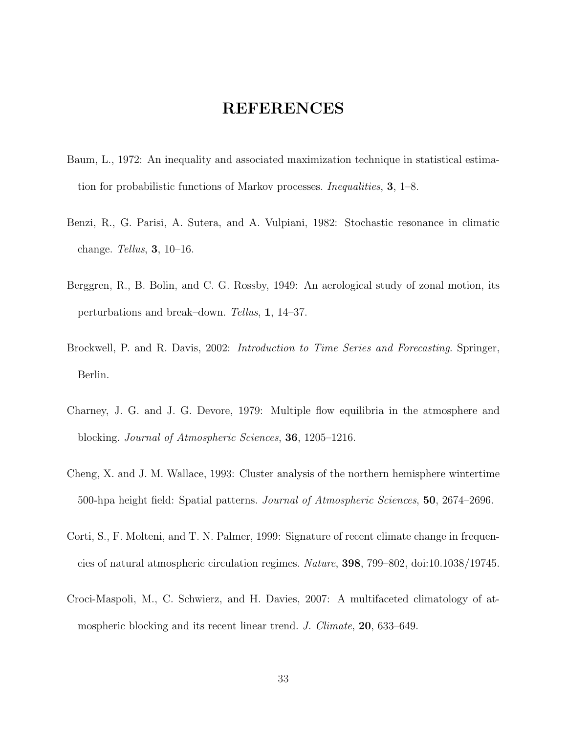## REFERENCES

- Baum, L., 1972: An inequality and associated maximization technique in statistical estimation for probabilistic functions of Markov processes. Inequalities, 3, 1–8.
- Benzi, R., G. Parisi, A. Sutera, and A. Vulpiani, 1982: Stochastic resonance in climatic change. Tellus, 3, 10–16.
- Berggren, R., B. Bolin, and C. G. Rossby, 1949: An aerological study of zonal motion, its perturbations and break–down. Tellus, 1, 14–37.
- Brockwell, P. and R. Davis, 2002: *Introduction to Time Series and Forecasting*. Springer, Berlin.
- Charney, J. G. and J. G. Devore, 1979: Multiple flow equilibria in the atmosphere and blocking. Journal of Atmospheric Sciences, 36, 1205–1216.
- Cheng, X. and J. M. Wallace, 1993: Cluster analysis of the northern hemisphere wintertime 500-hpa height field: Spatial patterns. Journal of Atmospheric Sciences, 50, 2674–2696.
- Corti, S., F. Molteni, and T. N. Palmer, 1999: Signature of recent climate change in frequencies of natural atmospheric circulation regimes. Nature, 398, 799–802, doi:10.1038/19745.
- Croci-Maspoli, M., C. Schwierz, and H. Davies, 2007: A multifaceted climatology of atmospheric blocking and its recent linear trend. J. Climate, 20, 633–649.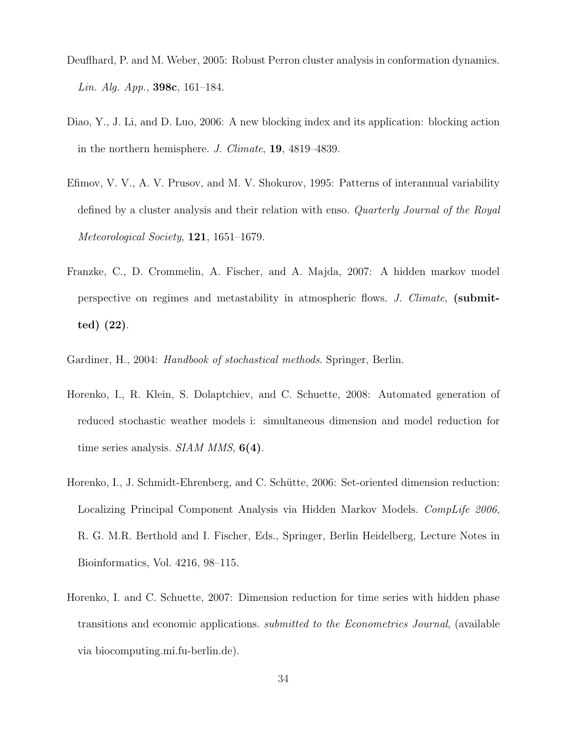- Deuflhard, P. and M. Weber, 2005: Robust Perron cluster analysis in conformation dynamics. Lin. Alg. App., **398c**, 161–184.
- Diao, Y., J. Li, and D. Luo, 2006: A new blocking index and its application: blocking action in the northern hemisphere. J. Climate, 19, 4819–4839.
- Efimov, V. V., A. V. Prusov, and M. V. Shokurov, 1995: Patterns of interannual variability defined by a cluster analysis and their relation with enso. Quarterly Journal of the Royal Meteorological Society, 121, 1651–1679.
- Franzke, C., D. Crommelin, A. Fischer, and A. Majda, 2007: A hidden markov model perspective on regimes and metastability in atmospheric flows. J. Climate, (submitted) (22).
- Gardiner, H., 2004: Handbook of stochastical methods. Springer, Berlin.
- Horenko, I., R. Klein, S. Dolaptchiev, and C. Schuette, 2008: Automated generation of reduced stochastic weather models i: simultaneous dimension and model reduction for time series analysis.  $SIAM MMS$ ,  $6(4)$ .
- Horenko, I., J. Schmidt-Ehrenberg, and C. Schütte, 2006: Set-oriented dimension reduction: Localizing Principal Component Analysis via Hidden Markov Models. CompLife 2006, R. G. M.R. Berthold and I. Fischer, Eds., Springer, Berlin Heidelberg, Lecture Notes in Bioinformatics, Vol. 4216, 98–115.
- Horenko, I. and C. Schuette, 2007: Dimension reduction for time series with hidden phase transitions and economic applications. submitted to the Econometrics Journal, (available via biocomputing.mi.fu-berlin.de).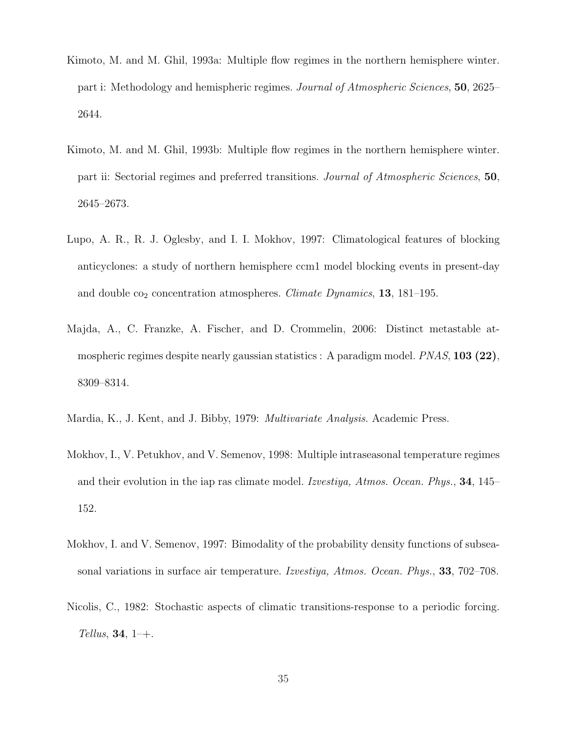- Kimoto, M. and M. Ghil, 1993a: Multiple flow regimes in the northern hemisphere winter. part i: Methodology and hemispheric regimes. Journal of Atmospheric Sciences, 50, 2625– 2644.
- Kimoto, M. and M. Ghil, 1993b: Multiple flow regimes in the northern hemisphere winter. part ii: Sectorial regimes and preferred transitions. Journal of Atmospheric Sciences, 50, 2645–2673.
- Lupo, A. R., R. J. Oglesby, and I. I. Mokhov, 1997: Climatological features of blocking anticyclones: a study of northern hemisphere ccm1 model blocking events in present-day and double  $co_2$  concentration atmospheres. *Climate Dynamics*, **13**, 181–195.
- Majda, A., C. Franzke, A. Fischer, and D. Crommelin, 2006: Distinct metastable atmospheric regimes despite nearly gaussian statistics : A paradigm model.  $PNAS$ , 103 (22), 8309–8314.
- Mardia, K., J. Kent, and J. Bibby, 1979: Multivariate Analysis. Academic Press.
- Mokhov, I., V. Petukhov, and V. Semenov, 1998: Multiple intraseasonal temperature regimes and their evolution in the iap ras climate model. Izvestiya, Atmos. Ocean. Phys., 34, 145– 152.
- Mokhov, I. and V. Semenov, 1997: Bimodality of the probability density functions of subseasonal variations in surface air temperature. Izvestiya, Atmos. Ocean. Phys., 33, 702–708.
- Nicolis, C., 1982: Stochastic aspects of climatic transitions-response to a periodic forcing. Tellus, 34,  $1-+$ .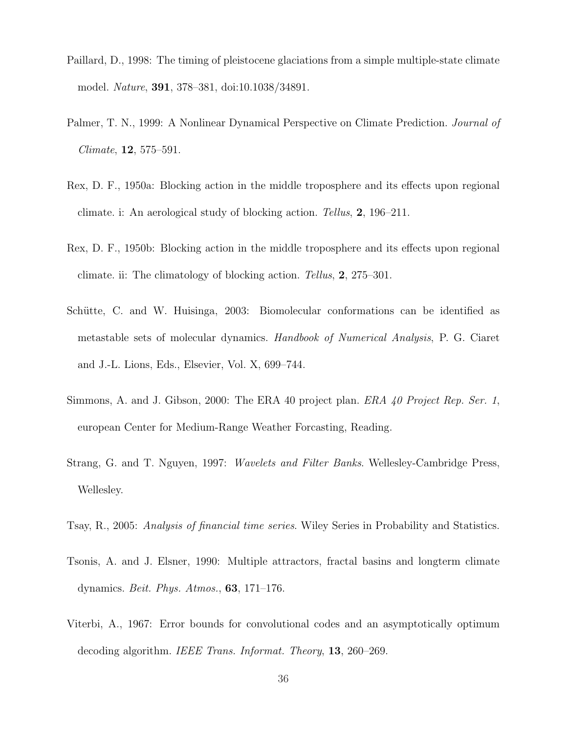- Paillard, D., 1998: The timing of pleistocene glaciations from a simple multiple-state climate model. Nature, 391, 378–381, doi:10.1038/34891.
- Palmer, T. N., 1999: A Nonlinear Dynamical Perspective on Climate Prediction. *Journal of* Climate, 12, 575–591.
- Rex, D. F., 1950a: Blocking action in the middle troposphere and its effects upon regional climate. i: An aerological study of blocking action. Tellus, 2, 196–211.
- Rex, D. F., 1950b: Blocking action in the middle troposphere and its effects upon regional climate. ii: The climatology of blocking action. Tellus, 2, 275–301.
- Schütte, C. and W. Huisinga, 2003: Biomolecular conformations can be identified as metastable sets of molecular dynamics. Handbook of Numerical Analysis, P. G. Ciaret and J.-L. Lions, Eds., Elsevier, Vol. X, 699–744.
- Simmons, A. and J. Gibson, 2000: The ERA 40 project plan. ERA 40 Project Rep. Ser. 1, european Center for Medium-Range Weather Forcasting, Reading.
- Strang, G. and T. Nguyen, 1997: Wavelets and Filter Banks. Wellesley-Cambridge Press, Wellesley.
- Tsay, R., 2005: Analysis of financial time series. Wiley Series in Probability and Statistics.
- Tsonis, A. and J. Elsner, 1990: Multiple attractors, fractal basins and longterm climate dynamics. Beit. Phys. Atmos., 63, 171–176.
- Viterbi, A., 1967: Error bounds for convolutional codes and an asymptotically optimum decoding algorithm. IEEE Trans. Informat. Theory, 13, 260–269.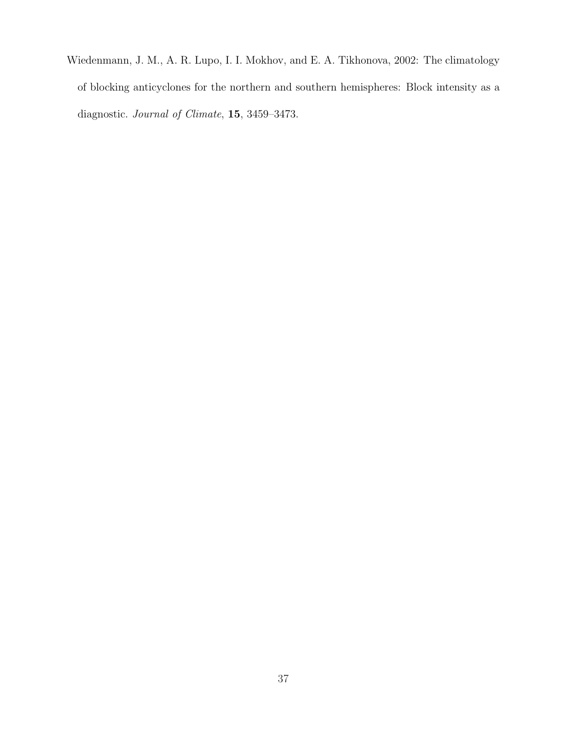Wiedenmann, J. M., A. R. Lupo, I. I. Mokhov, and E. A. Tikhonova, 2002: The climatology of blocking anticyclones for the northern and southern hemispheres: Block intensity as a diagnostic. Journal of Climate, 15, 3459–3473.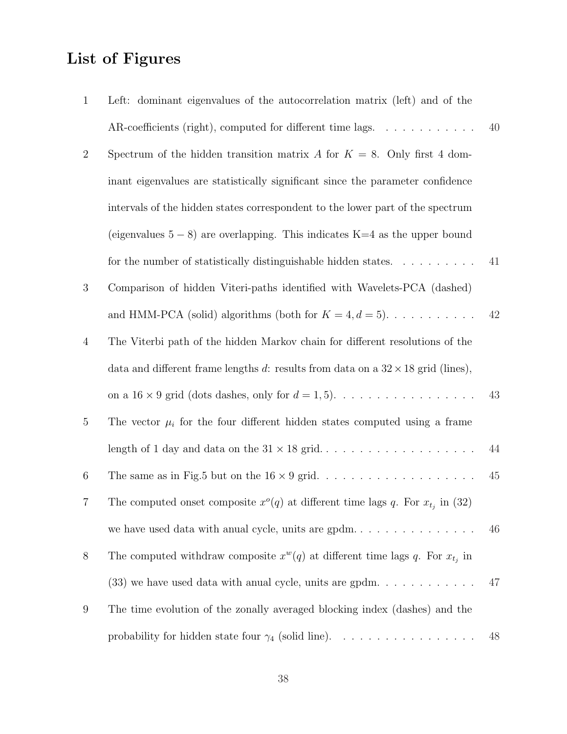## List of Figures

| $\mathbf{1}$   | Left: dominant eigenvalues of the autocorrelation matrix (left) and of the              |    |
|----------------|-----------------------------------------------------------------------------------------|----|
|                | AR-coefficients (right), computed for different time lags. $\dots \dots \dots$          | 40 |
| $\sqrt{2}$     | Spectrum of the hidden transition matrix A for $K = 8$ . Only first 4 dom-              |    |
|                | inant eigenvalues are statistically significant since the parameter confidence          |    |
|                | intervals of the hidden states correspondent to the lower part of the spectrum          |    |
|                | (eigenvalues $5-8$ ) are overlapping. This indicates K=4 as the upper bound             |    |
|                | for the number of statistically distinguishable hidden states. $\dots \dots \dots$      | 41 |
| $\sqrt{3}$     | Comparison of hidden Viteri-paths identified with Wavelets-PCA (dashed)                 |    |
|                | and HMM-PCA (solid) algorithms (both for $K = 4, d = 5$ ).                              | 42 |
| $\overline{4}$ | The Viterbi path of the hidden Markov chain for different resolutions of the            |    |
|                | data and different frame lengths d: results from data on a $32 \times 18$ grid (lines), |    |
|                | on a 16 $\times$ 9 grid (dots dashes, only for $d = 1, 5$ ).                            | 43 |
| $\overline{5}$ | The vector $\mu_i$ for the four different hidden states computed using a frame          |    |
|                |                                                                                         | 44 |
| 6              |                                                                                         | 45 |
| 7              | The computed onset composite $x^o(q)$ at different time lags q. For $x_{t_j}$ in (32)   |    |
|                |                                                                                         | 46 |
| $8\,$          | The computed withdraw composite $x^w(q)$ at different time lags q. For $x_{t_i}$ in     |    |
|                | $(33)$ we have used data with anual cycle, units are gpdm.                              | 47 |
| 9              | The time evolution of the zonally averaged blocking index (dashes) and the              |    |
|                | probability for hidden state four $\gamma_4$ (solid line).                              | 48 |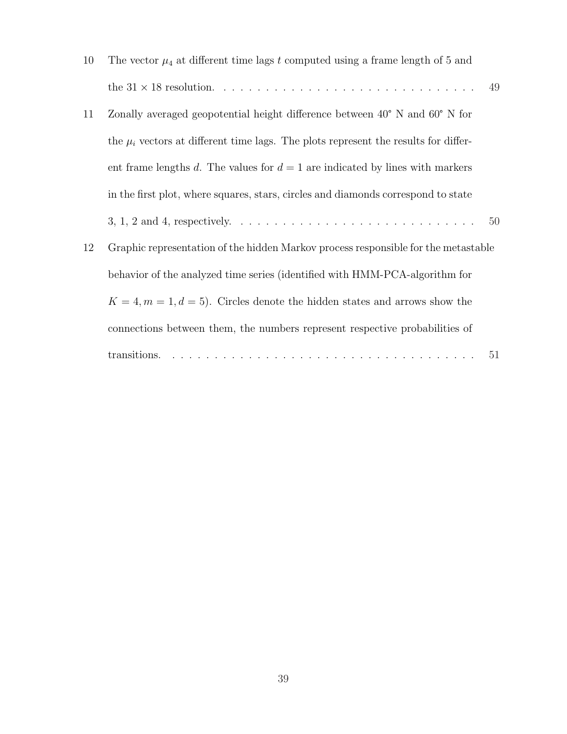| 10 | The vector $\mu_4$ at different time lags t computed using a frame length of 5 and            |
|----|-----------------------------------------------------------------------------------------------|
|    | 49                                                                                            |
| 11 | Zonally averaged geopotential height difference between $40^{\circ}$ N and $60^{\circ}$ N for |
|    | the $\mu_i$ vectors at different time lags. The plots represent the results for differ-       |
|    | ent frame lengths d. The values for $d=1$ are indicated by lines with markers                 |
|    | in the first plot, where squares, stars, circles and diamonds correspond to state             |
|    | 50                                                                                            |
| 12 | Graphic representation of the hidden Markov process responsible for the metastable            |
|    | behavior of the analyzed time series (identified with HMM-PCA-algorithm for                   |
|    | $K = 4, m = 1, d = 5$ . Circles denote the hidden states and arrows show the                  |
|    | connections between them, the numbers represent respective probabilities of                   |
|    | 51                                                                                            |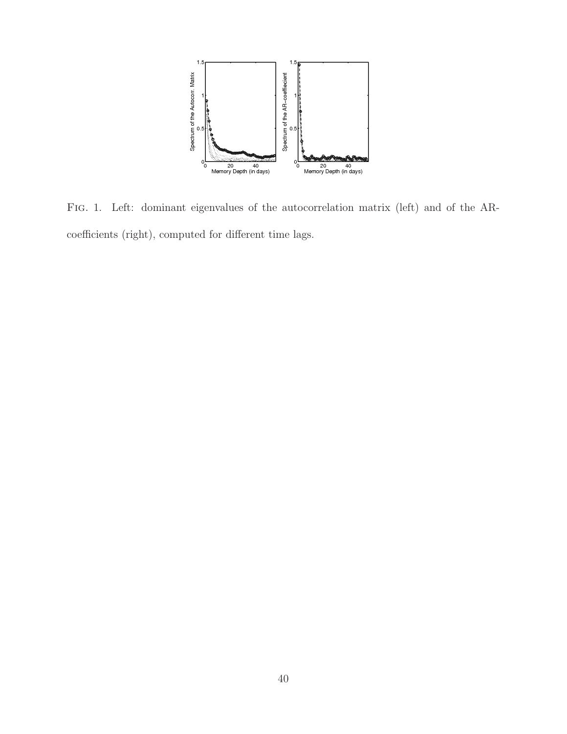

Fig. 1. Left: dominant eigenvalues of the autocorrelation matrix (left) and of the ARcoefficients (right), computed for different time lags.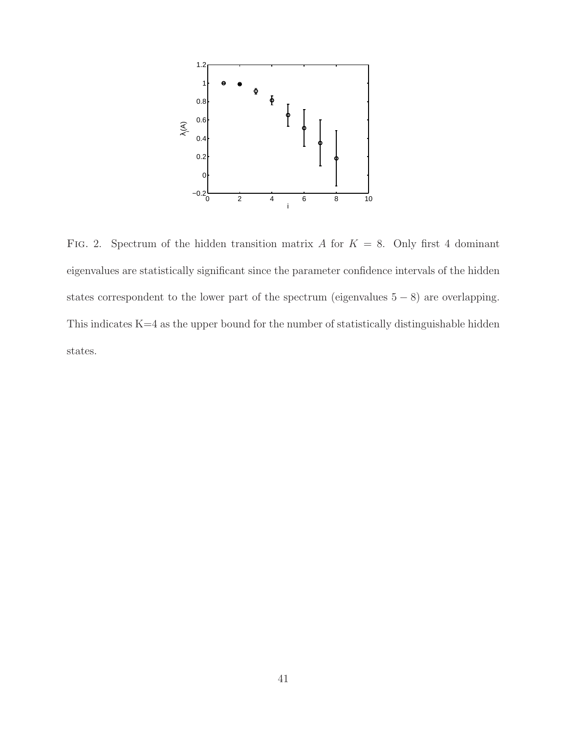

FIG. 2. Spectrum of the hidden transition matrix A for  $K = 8$ . Only first 4 dominant eigenvalues are statistically significant since the parameter confidence intervals of the hidden states correspondent to the lower part of the spectrum (eigenvalues  $5 - 8$ ) are overlapping. This indicates K=4 as the upper bound for the number of statistically distinguishable hidden states.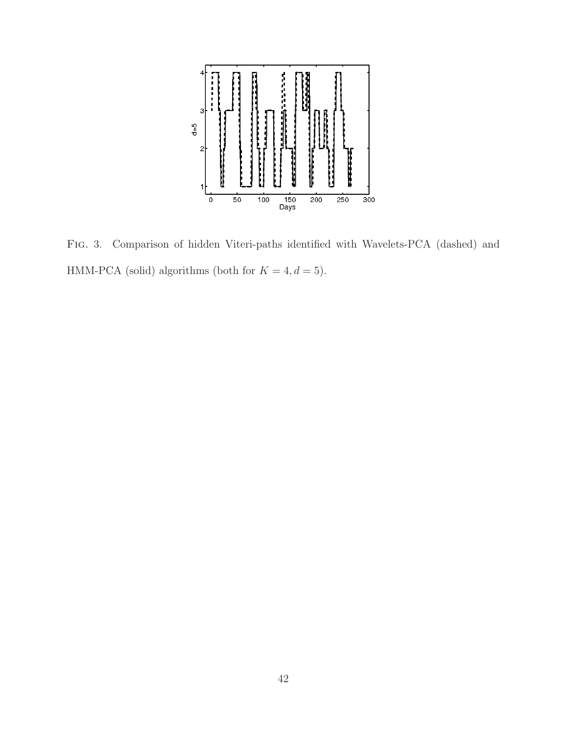

Fig. 3. Comparison of hidden Viteri-paths identified with Wavelets-PCA (dashed) and HMM-PCA (solid) algorithms (both for  $K = 4, d = 5$ ).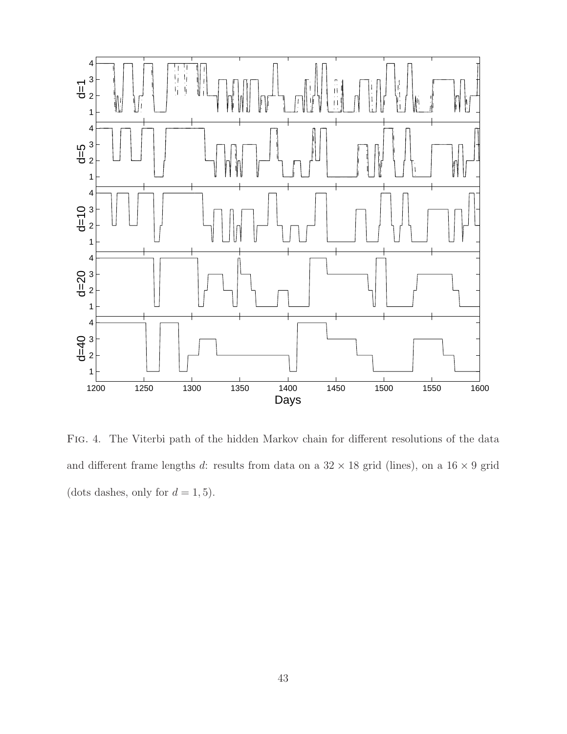

Fig. 4. The Viterbi path of the hidden Markov chain for different resolutions of the data and different frame lengths d: results from data on a  $32 \times 18$  grid (lines), on a  $16 \times 9$  grid (dots dashes, only for  $d = 1, 5$ ).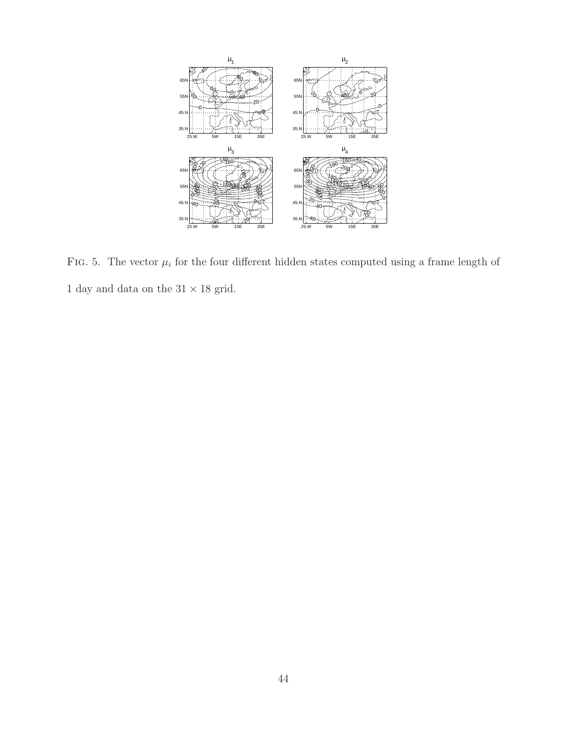

FIG. 5. The vector  $\mu_i$  for the four different hidden states computed using a frame length of  $1$  day and data on the  $31\times18$  grid.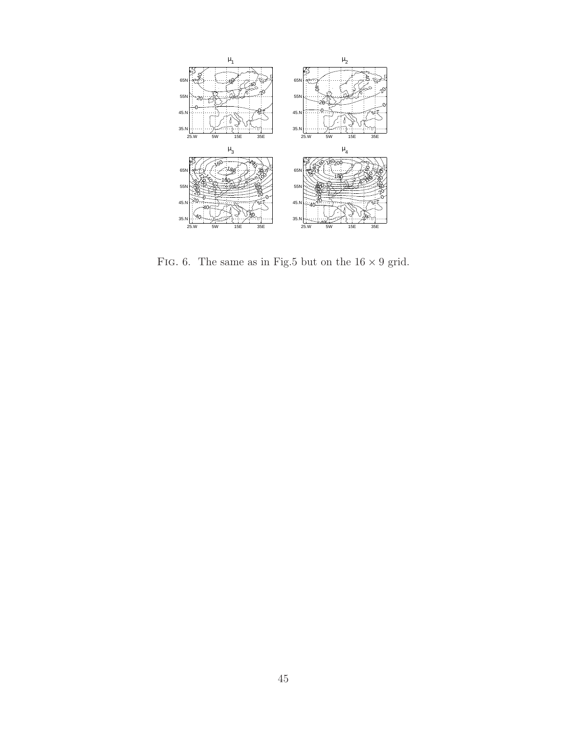

FIG. 6. The same as in Fig.5 but on the  $16\times9$  grid.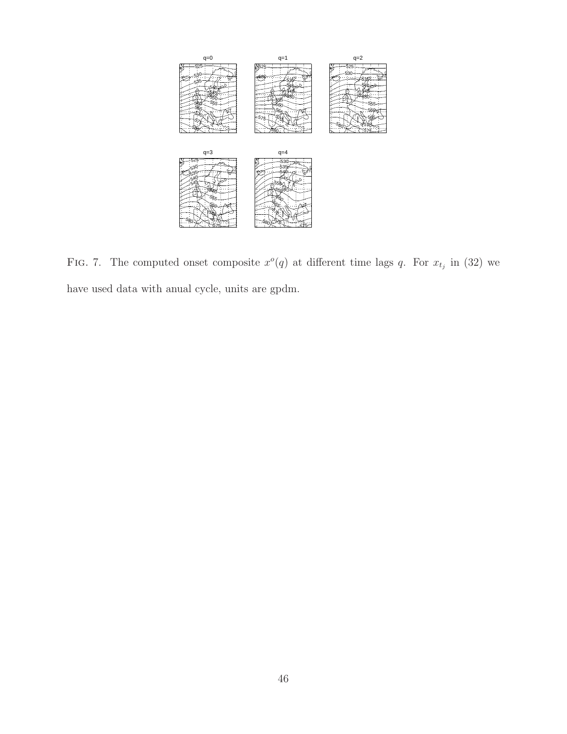

FIG. 7. The computed onset composite  $x^o(q)$  at different time lags q. For  $x_{t_j}$  in (32) we have used data with anual cycle, units are gpdm.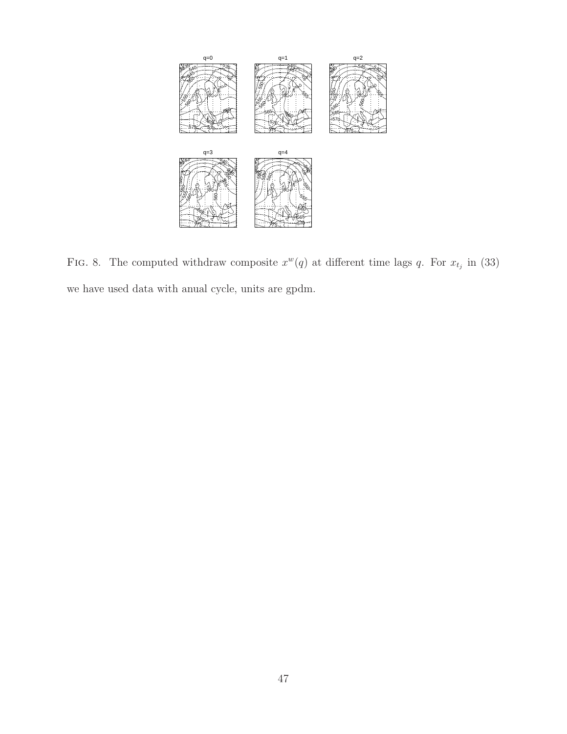

FIG. 8. The computed withdraw composite  $x^w(q)$  at different time lags q. For  $x_{t_j}$  in (33) we have used data with anual cycle, units are gpdm.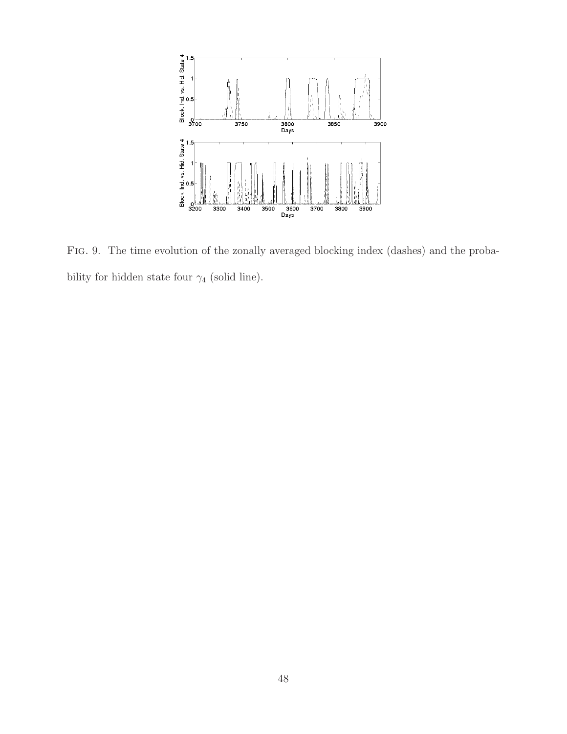

Fig. 9. The time evolution of the zonally averaged blocking index (dashes) and the probability for hidden state four  $\gamma_4$  (solid line).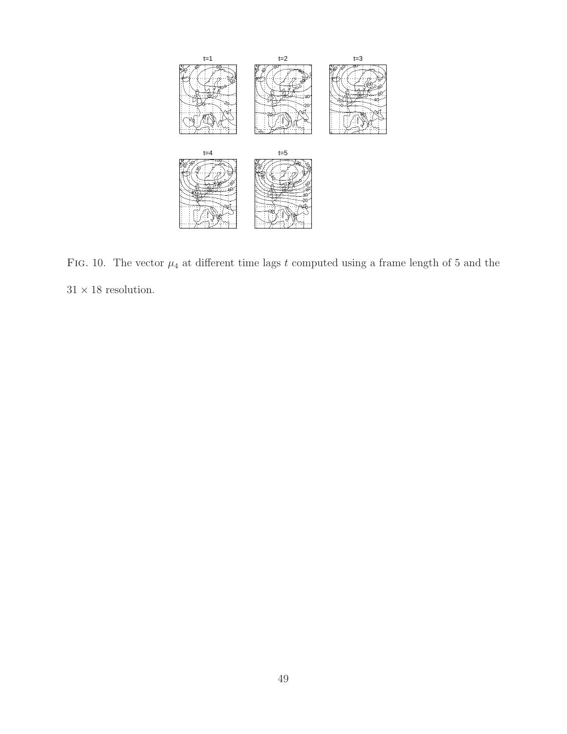

FIG. 10. The vector  $\mu_4$  at different time lags t computed using a frame length of 5 and the  $31\times18$  resolution.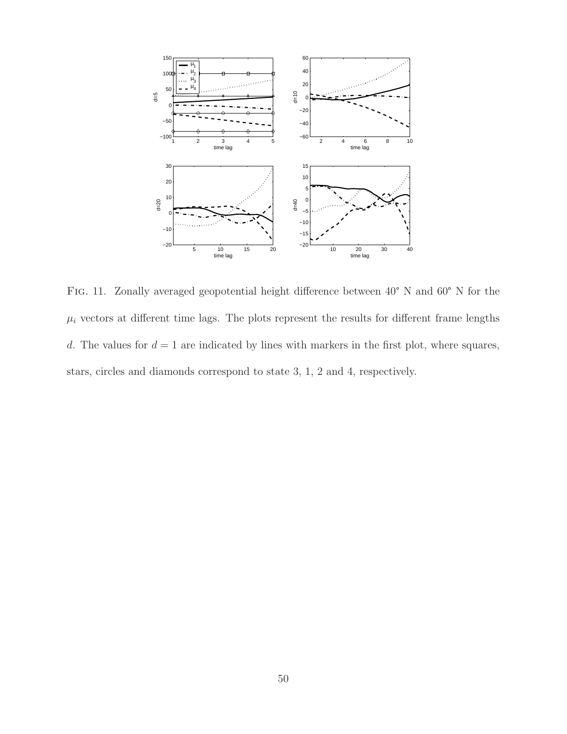

Fig. 11. Zonally averaged geopotential height difference between 40° N and 60° N for the  $\mu_i$  vectors at different time lags. The plots represent the results for different frame lengths d. The values for  $d = 1$  are indicated by lines with markers in the first plot, where squares, stars, circles and diamonds correspond to state 3, 1, 2 and 4, respectively.